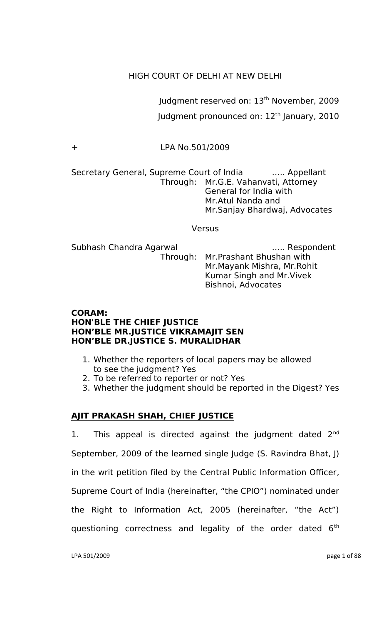# HIGH COURT OF DELHI AT NEW DELHI

Judgment reserved on: 13<sup>th</sup> November, 2009 Judgment pronounced on: 12<sup>th</sup> January, 2010

+ LPA No.501/2009

Secretary General, Supreme Court of India ..... Appellant Through: Mr.G.E. Vahanvati, Attorney General for India with Mr.Atul Nanda and Mr.Sanjay Bhardwaj, Advocates

Versus

Subhash Chandra Agarwal ….. Respondent Through: Mr.Prashant Bhushan with Mr.Mayank Mishra, Mr.Rohit Kumar Singh and Mr.Vivek Bishnoi, Advocates

## **CORAM: HON'BLE THE CHIEF JUSTICE HON'BLE MR.JUSTICE VIKRAMAJIT SEN HON'BLE DR.JUSTICE S. MURALIDHAR**

- 1. Whether the reporters of local papers may be allowed to see the judgment? Yes
- 2. To be referred to reporter or not? Yes
- 3. Whether the judgment should be reported in the Digest? Yes

# **AJIT PRAKASH SHAH, CHIEF JUSTICE**

1. This appeal is directed against the judgment dated  $2^{nd}$ September, 2009 of the learned single Judge (S. Ravindra Bhat, J) in the writ petition filed by the Central Public Information Officer, Supreme Court of India (hereinafter, "the CPIO") nominated under the Right to Information Act, 2005 (hereinafter, "the Act") questioning correctness and legality of the order dated  $6<sup>th</sup>$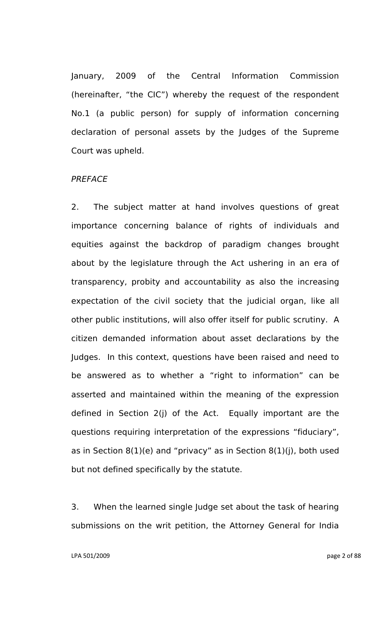January, 2009 of the Central Information Commission (hereinafter, "the CIC") whereby the request of the respondent No.1 (a public person) for supply of information concerning declaration of personal assets by the Judges of the Supreme Court was upheld.

## *PREFACE*

2. The subject matter at hand involves questions of great importance concerning balance of rights of individuals and equities against the backdrop of paradigm changes brought about by the legislature through the Act ushering in an era of transparency, probity and accountability as also the increasing expectation of the civil society that the judicial organ, like all other public institutions, will also offer itself for public scrutiny. A citizen demanded information about asset declarations by the Judges. In this context, questions have been raised and need to be answered as to whether a "right to information" can be asserted and maintained within the meaning of the expression defined in Section 2(j) of the Act. Equally important are the questions requiring interpretation of the expressions "fiduciary", as in Section  $8(1)(e)$  and "privacy" as in Section  $8(1)(j)$ , both used but not defined specifically by the statute.

3. When the learned single Judge set about the task of hearing submissions on the writ petition, the Attorney General for India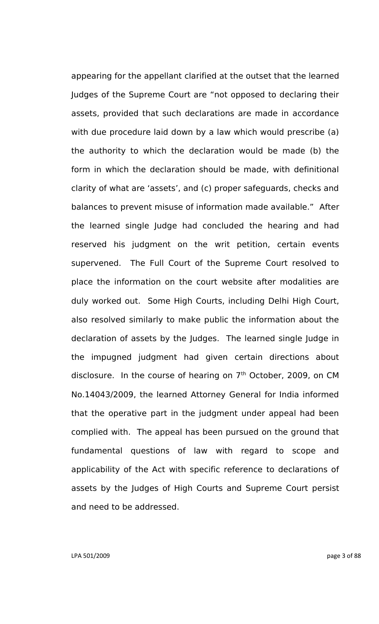appearing for the appellant clarified at the outset that the learned Judges of the Supreme Court are "not opposed to declaring their assets, provided that such declarations are made in accordance with due procedure laid down by a law which would prescribe (a) the authority to which the declaration would be made (b) the form in which the declaration should be made, with definitional clarity of what are "assets", and (c) proper safeguards, checks and balances to prevent misuse of information made available." After the learned single Judge had concluded the hearing and had reserved his judgment on the writ petition, certain events supervened. The Full Court of the Supreme Court resolved to place the information on the court website after modalities are duly worked out. Some High Courts, including Delhi High Court, also resolved similarly to make public the information about the declaration of assets by the Judges. The learned single Judge in the impugned judgment had given certain directions about disclosure. In the course of hearing on  $7<sup>th</sup>$  October, 2009, on CM No.14043/2009, the learned Attorney General for India informed that the operative part in the judgment under appeal had been complied with. The appeal has been pursued on the ground that fundamental questions of law with regard to scope and applicability of the Act with specific reference to declarations of assets by the Judges of High Courts and Supreme Court persist and need to be addressed.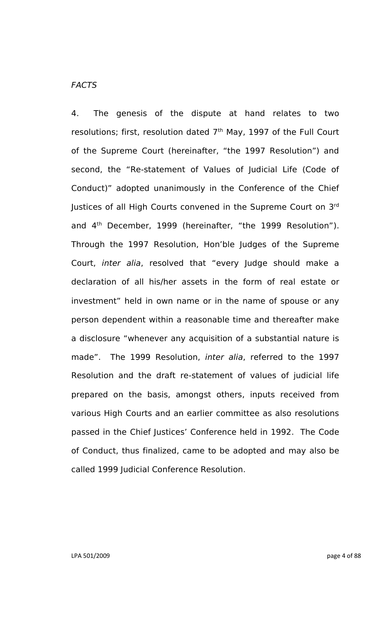# *FACTS*

4. The genesis of the dispute at hand relates to two resolutions; first, resolution dated  $7<sup>th</sup>$  May, 1997 of the Full Court of the Supreme Court (hereinafter, "the 1997 Resolution") and second, the "Re-statement of Values of Judicial Life (Code of Conduct)" adopted unanimously in the Conference of the Chief Justices of all High Courts convened in the Supreme Court on  $3^{\mathsf{rd}}$ and 4<sup>th</sup> December, 1999 (hereinafter, "the 1999 Resolution"). Through the 1997 Resolution, Hon"ble Judges of the Supreme Court, *inter alia*, resolved that "every Judge should make a declaration of all his/her assets in the form of real estate or investment" held in own name or in the name of spouse or any person dependent within a reasonable time and thereafter make a disclosure "whenever any acquisition of a substantial nature is made". The 1999 Resolution, *inter alia*, referred to the 1997 Resolution and the draft re-statement of values of judicial life prepared on the basis, amongst others, inputs received from various High Courts and an earlier committee as also resolutions passed in the Chief Justices' Conference held in 1992. The Code of Conduct, thus finalized, came to be adopted and may also be called 1999 Judicial Conference Resolution.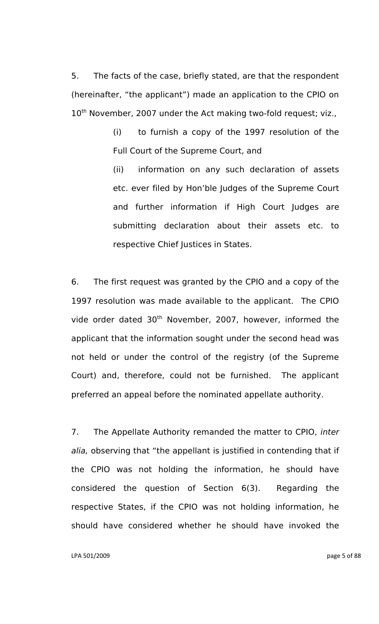5. The facts of the case, briefly stated, are that the respondent (hereinafter, "the applicant") made an application to the CPIO on 10<sup>th</sup> November, 2007 under the Act making two-fold request; viz.,

> (i) to furnish a copy of the 1997 resolution of the Full Court of the Supreme Court, and

> (ii) information on any such declaration of assets etc. ever filed by Hon"ble Judges of the Supreme Court and further information if High Court Judges are submitting declaration about their assets etc. to respective Chief Justices in States.

6. The first request was granted by the CPIO and a copy of the 1997 resolution was made available to the applicant. The CPIO vide order dated 30<sup>th</sup> November, 2007, however, informed the applicant that the information sought under the second head was not held or under the control of the registry (of the Supreme Court) and, therefore, could not be furnished. The applicant preferred an appeal before the nominated appellate authority.

7. The Appellate Authority remanded the matter to CPIO, *inter alia,* observing that "the appellant is justified in contending that if the CPIO was not holding the information, he should have considered the question of Section 6(3). Regarding the respective States, if the CPIO was not holding information, he should have considered whether he should have invoked the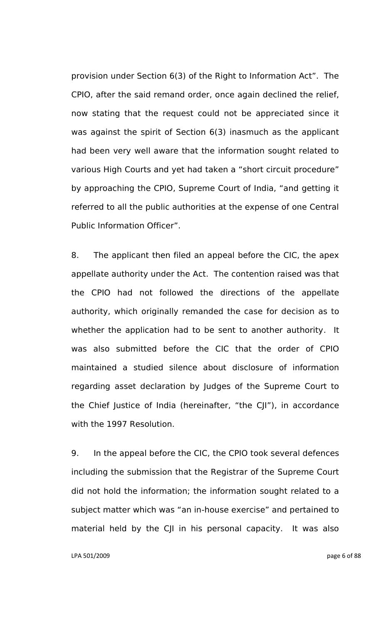provision under Section 6(3) of the Right to Information Act". The CPIO, after the said remand order, once again declined the relief, now stating that the request could not be appreciated since it was against the spirit of Section 6(3) inasmuch as the applicant had been very well aware that the information sought related to various High Courts and yet had taken a "short circuit procedure" by approaching the CPIO, Supreme Court of India, "and getting it referred to all the public authorities at the expense of one Central Public Information Officer".

8. The applicant then filed an appeal before the CIC, the apex appellate authority under the Act. The contention raised was that the CPIO had not followed the directions of the appellate authority, which originally remanded the case for decision as to whether the application had to be sent to another authority. It was also submitted before the CIC that the order of CPIO maintained a studied silence about disclosure of information regarding asset declaration by Judges of the Supreme Court to the Chief Justice of India (hereinafter, "the CJI"), in accordance with the 1997 Resolution.

9. In the appeal before the CIC, the CPIO took several defences including the submission that the Registrar of the Supreme Court did not hold the information; the information sought related to a subject matter which was "an in-house exercise" and pertained to material held by the CJI in his personal capacity. It was also

LPA 501/2009 page 6 of 88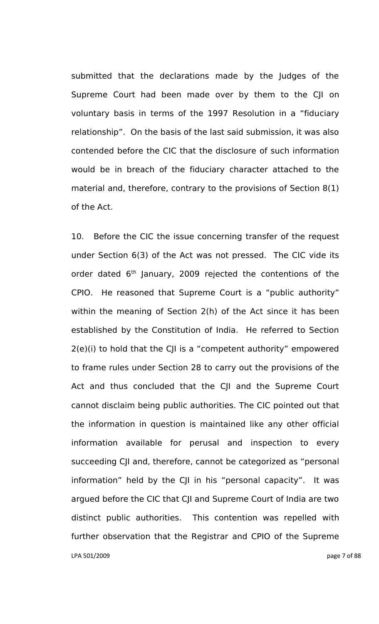submitted that the declarations made by the Judges of the Supreme Court had been made over by them to the CJI on voluntary basis in terms of the 1997 Resolution in a "fiduciary relationship". On the basis of the last said submission, it was also contended before the CIC that the disclosure of such information would be in breach of the fiduciary character attached to the material and, therefore, contrary to the provisions of Section 8(1) of the Act.

LPA 501/2009 page 7 of 88 10. Before the CIC the issue concerning transfer of the request under Section 6(3) of the Act was not pressed. The CIC vide its order dated 6<sup>th</sup> January, 2009 rejected the contentions of the CPIO. He reasoned that Supreme Court is a "public authority" within the meaning of Section 2(h) of the Act since it has been established by the Constitution of India. He referred to Section 2(e)(i) to hold that the CJI is a "competent authority" empowered to frame rules under Section 28 to carry out the provisions of the Act and thus concluded that the CJI and the Supreme Court cannot disclaim being public authorities. The CIC pointed out that the information in question is maintained like any other official information available for perusal and inspection to every succeeding CJI and, therefore, cannot be categorized as "personal information" held by the CJI in his "personal capacity". It was argued before the CIC that CJI and Supreme Court of India are two distinct public authorities. This contention was repelled with further observation that the Registrar and CPIO of the Supreme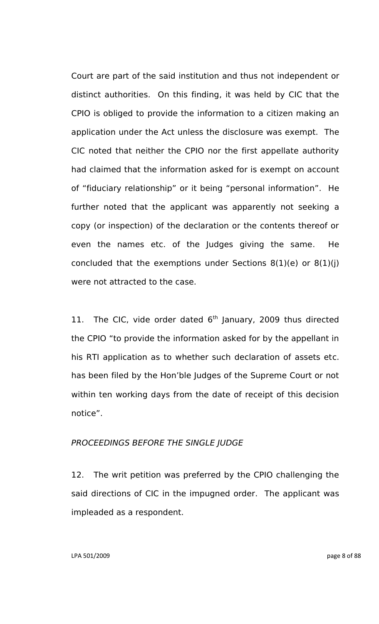Court are part of the said institution and thus not independent or distinct authorities. On this finding, it was held by CIC that the CPIO is obliged to provide the information to a citizen making an application under the Act unless the disclosure was exempt. The CIC noted that neither the CPIO nor the first appellate authority had claimed that the information asked for is exempt on account of "fiduciary relationship" or it being "personal information". He further noted that the applicant was apparently not seeking a copy (or inspection) of the declaration or the contents thereof or even the names etc. of the Judges giving the same. He concluded that the exemptions under Sections  $8(1)(e)$  or  $8(1)(i)$ were not attracted to the case.

11. The CIC, vide order dated  $6<sup>th</sup>$  January, 2009 thus directed the CPIO "to provide the information asked for by the appellant in his RTI application as to whether such declaration of assets etc. has been filed by the Hon"ble Judges of the Supreme Court or not within ten working days from the date of receipt of this decision notice".

## *PROCEEDINGS BEFORE THE SINGLE JUDGE*

12. The writ petition was preferred by the CPIO challenging the said directions of CIC in the impugned order. The applicant was impleaded as a respondent.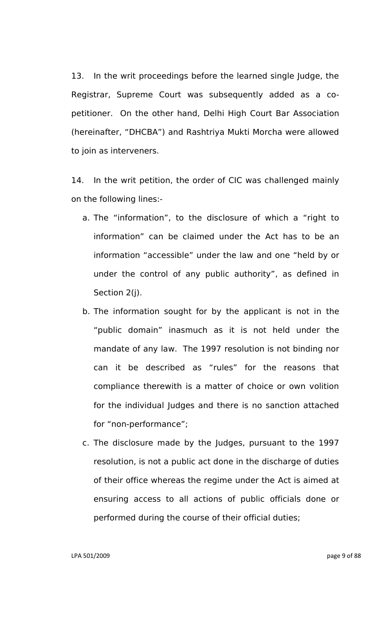13. In the writ proceedings before the learned single Judge, the Registrar, Supreme Court was subsequently added as a copetitioner. On the other hand, Delhi High Court Bar Association (hereinafter, "DHCBA") and Rashtriya Mukti Morcha were allowed to join as interveners.

14. In the writ petition, the order of CIC was challenged mainly on the following lines:-

- a. The "information", to the disclosure of which a "right to information" can be claimed under the Act has to be an information "accessible" under the law and one "held by or under the control of any public authority", as defined in Section 2(j).
- b. The information sought for by the applicant is not in the "public domain" inasmuch as it is not held under the mandate of any law. The 1997 resolution is not binding nor can it be described as "rules" for the reasons that compliance therewith is a matter of choice or own volition for the individual Judges and there is no sanction attached for "non-performance";
- c. The disclosure made by the Judges, pursuant to the 1997 resolution, is not a public act done in the discharge of duties of their office whereas the regime under the Act is aimed at ensuring access to all actions of public officials done or performed during the course of their official duties;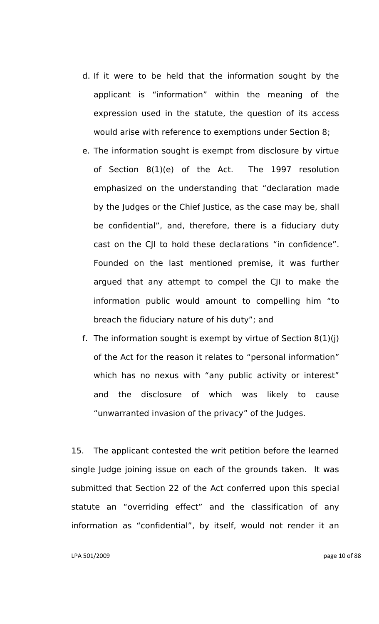- d. If it were to be held that the information sought by the applicant is "information" within the meaning of the expression used in the statute, the question of its access would arise with reference to exemptions under Section 8;
- e. The information sought is exempt from disclosure by virtue of Section 8(1)(e) of the Act. The 1997 resolution emphasized on the understanding that "declaration made by the Judges or the Chief Justice, as the case may be, shall be confidential", and, therefore, there is a fiduciary duty cast on the CJI to hold these declarations "in confidence". Founded on the last mentioned premise, it was further argued that any attempt to compel the CJI to make the information public would amount to compelling him "to breach the fiduciary nature of his duty"; and
- f. The information sought is exempt by virtue of Section  $8(1)(i)$ of the Act for the reason it relates to "personal information" which has no nexus with "any public activity or interest" and the disclosure of which was likely to cause "unwarranted invasion of the privacy" of the Judges.

15. The applicant contested the writ petition before the learned single Judge joining issue on each of the grounds taken. It was submitted that Section 22 of the Act conferred upon this special statute an "overriding effect" and the classification of any information as "confidential", by itself, would not render it an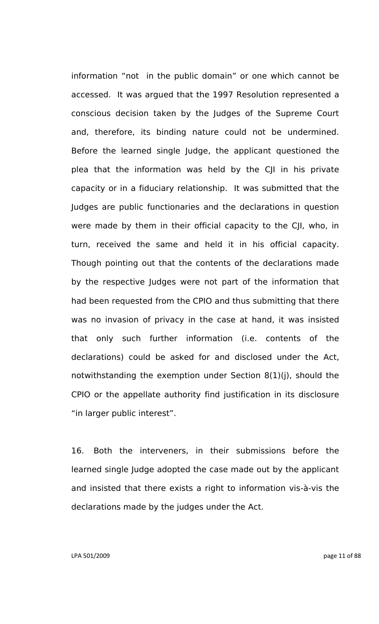information "not in the public domain" or one which cannot be accessed. It was argued that the 1997 Resolution represented a conscious decision taken by the Judges of the Supreme Court and, therefore, its binding nature could not be undermined. Before the learned single Judge, the applicant questioned the plea that the information was held by the CJI in his private capacity or in a fiduciary relationship. It was submitted that the Judges are public functionaries and the declarations in question were made by them in their official capacity to the CJI, who, in turn, received the same and held it in his official capacity. Though pointing out that the contents of the declarations made by the respective Judges were not part of the information that had been requested from the CPIO and thus submitting that there was no invasion of privacy in the case at hand, it was insisted that only such further information (i.e. contents of the declarations) could be asked for and disclosed under the Act, notwithstanding the exemption under Section 8(1)(j), should the CPIO or the appellate authority find justification in its disclosure "in larger public interest".

16. Both the interveners, in their submissions before the learned single Judge adopted the case made out by the applicant and insisted that there exists a right to information vis-à-vis the declarations made by the judges under the Act.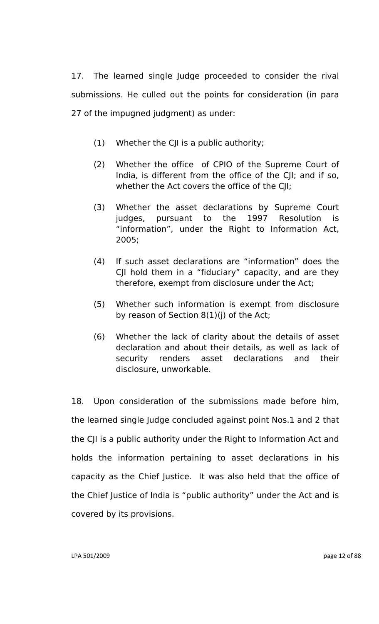17. The learned single Judge proceeded to consider the rival submissions. He culled out the points for consideration (in para 27 of the impugned judgment) as under:

- (1) Whether the CJI is a public authority;
- (2) Whether the office of CPIO of the Supreme Court of India, is different from the office of the CJI; and if so, whether the Act covers the office of the CJI;
- (3) Whether the asset declarations by Supreme Court judges, pursuant to the 1997 Resolution is "information", under the Right to Information Act, 2005;
- (4) If such asset declarations are "information" does the CJI hold them in a "fiduciary" capacity, and are they therefore, exempt from disclosure under the Act;
- (5) Whether such information is exempt from disclosure by reason of Section 8(1)(j) of the Act;
- (6) Whether the lack of clarity about the details of asset declaration and about their details, as well as lack of security renders asset declarations and their disclosure, unworkable.

18. Upon consideration of the submissions made before him, the learned single Judge concluded against point Nos.1 and 2 that the CJI is a public authority under the Right to Information Act and holds the information pertaining to asset declarations in his capacity as the Chief Justice. It was also held that the office of the Chief Justice of India is "public authority" under the Act and is covered by its provisions.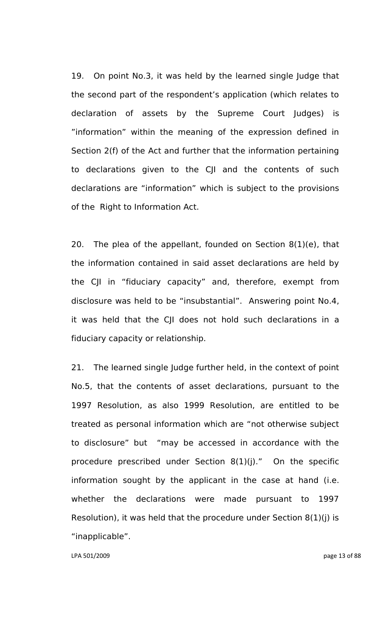19. On point No.3, it was held by the learned single Judge that the second part of the respondent"s application (which relates to declaration of assets by the Supreme Court Judges) is "information" within the meaning of the expression defined in Section 2(f) of the Act and further that the information pertaining to declarations given to the CJI and the contents of such declarations are "information" which is subject to the provisions of the Right to Information Act.

20. The plea of the appellant, founded on Section 8(1)(e), that the information contained in said asset declarations are held by the CJI in "fiduciary capacity" and, therefore, exempt from disclosure was held to be "insubstantial". Answering point No.4, it was held that the CJI does not hold such declarations in a fiduciary capacity or relationship.

21. The learned single Judge further held, in the context of point No.5, that the contents of asset declarations, pursuant to the 1997 Resolution, as also 1999 Resolution, are entitled to be treated as personal information which are "not otherwise subject to disclosure" but "may be accessed in accordance with the procedure prescribed under Section 8(1)(j)." On the specific information sought by the applicant in the case at hand (i.e. whether the declarations were made pursuant to 1997 Resolution), it was held that the procedure under Section 8(1)(j) is "inapplicable".

LPA 501/2009 page 13 of 88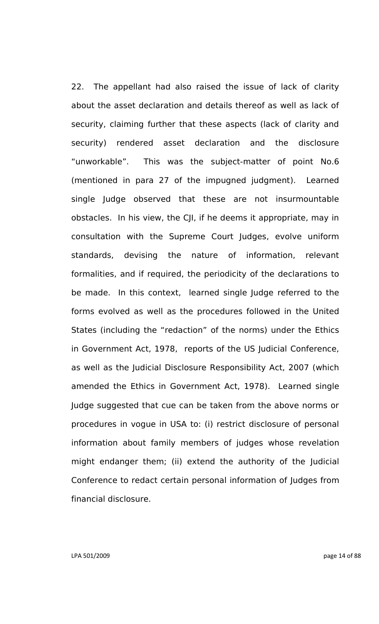22. The appellant had also raised the issue of lack of clarity about the asset declaration and details thereof as well as lack of security, claiming further that these aspects (lack of clarity and security) rendered asset declaration and the disclosure "unworkable". This was the subject-matter of point No.6 (mentioned in para 27 of the impugned judgment). Learned single Judge observed that these are not insurmountable obstacles. In his view, the CJI, if he deems it appropriate, may in consultation with the Supreme Court Judges, evolve uniform standards, devising the nature of information, relevant formalities, and if required, the periodicity of the declarations to be made. In this context, learned single Judge referred to the forms evolved as well as the procedures followed in the United States (including the "redaction" of the norms) under the Ethics in Government Act, 1978, reports of the US Judicial Conference, as well as the Judicial Disclosure Responsibility Act, 2007 (which amended the Ethics in Government Act, 1978). Learned single Judge suggested that cue can be taken from the above norms or procedures in vogue in USA to: (i) restrict disclosure of personal information about family members of judges whose revelation might endanger them; (ii) extend the authority of the Judicial Conference to redact certain personal information of Judges from financial disclosure.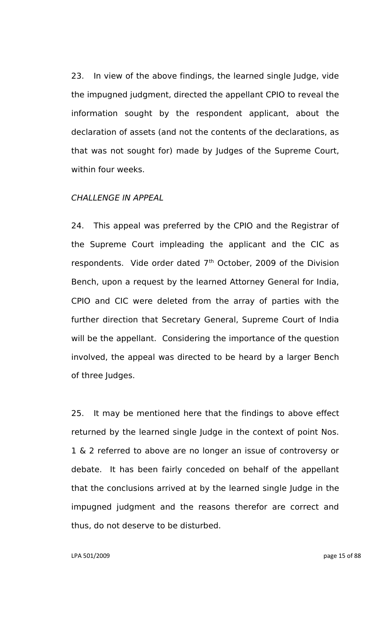23. In view of the above findings, the learned single Judge, vide the impugned judgment, directed the appellant CPIO to reveal the information sought by the respondent applicant, about the declaration of assets (and not the contents of the declarations, as that was not sought for) made by Judges of the Supreme Court, within four weeks.

## *CHALLENGE IN APPEAL*

24. This appeal was preferred by the CPIO and the Registrar of the Supreme Court impleading the applicant and the CIC as respondents. Vide order dated  $7<sup>th</sup>$  October, 2009 of the Division Bench, upon a request by the learned Attorney General for India, CPIO and CIC were deleted from the array of parties with the further direction that Secretary General, Supreme Court of India will be the appellant. Considering the importance of the question involved, the appeal was directed to be heard by a larger Bench of three Judges.

25. It may be mentioned here that the findings to above effect returned by the learned single Judge in the context of point Nos. 1 & 2 referred to above are no longer an issue of controversy or debate. It has been fairly conceded on behalf of the appellant that the conclusions arrived at by the learned single Judge in the impugned judgment and the reasons therefor are correct and thus, do not deserve to be disturbed.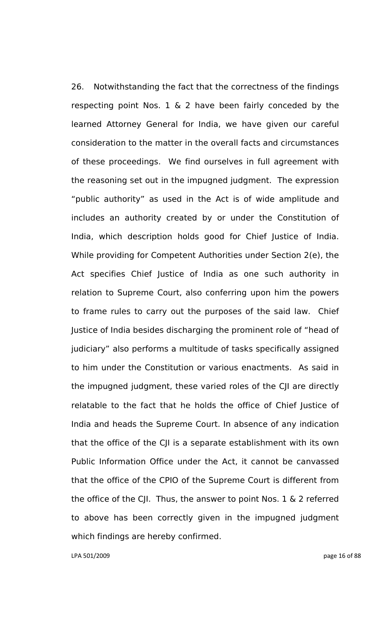26. Notwithstanding the fact that the correctness of the findings respecting point Nos. 1 & 2 have been fairly conceded by the learned Attorney General for India, we have given our careful consideration to the matter in the overall facts and circumstances of these proceedings. We find ourselves in full agreement with the reasoning set out in the impugned judgment. The expression "public authority" as used in the Act is of wide amplitude and includes an authority created by or under the Constitution of India, which description holds good for Chief Justice of India. While providing for Competent Authorities under Section 2(e), the Act specifies Chief Justice of India as one such authority in relation to Supreme Court, also conferring upon him the powers to frame rules to carry out the purposes of the said law. Chief Justice of India besides discharging the prominent role of "head of judiciary" also performs a multitude of tasks specifically assigned to him under the Constitution or various enactments. As said in the impugned judgment, these varied roles of the CJI are directly relatable to the fact that he holds the office of Chief Justice of India and heads the Supreme Court. In absence of any indication that the office of the CJI is a separate establishment with its own Public Information Office under the Act, it cannot be canvassed that the office of the CPIO of the Supreme Court is different from the office of the CJI. Thus, the answer to point Nos. 1 & 2 referred to above has been correctly given in the impugned judgment which findings are hereby confirmed.

LPA 501/2009 page 16 of 88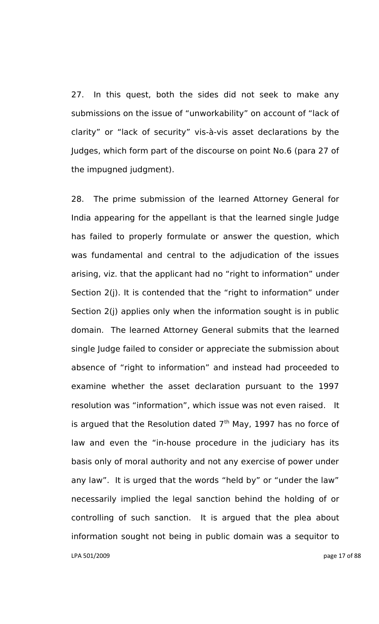27. In this quest, both the sides did not seek to make any submissions on the issue of "unworkability" on account of "lack of clarity" or "lack of security" vis-à-vis asset declarations by the Judges, which form part of the discourse on point No.6 (para 27 of the impugned judgment).

LPA 501/2009 page 17 of 88 28. The prime submission of the learned Attorney General for India appearing for the appellant is that the learned single Judge has failed to properly formulate or answer the question, which was fundamental and central to the adjudication of the issues arising, viz. that the applicant had no "right to information" under Section 2(j). It is contended that the "right to information" under Section 2(j) applies only when the information sought is in public domain. The learned Attorney General submits that the learned single Judge failed to consider or appreciate the submission about absence of "right to information" and instead had proceeded to examine whether the asset declaration pursuant to the 1997 resolution was "information", which issue was not even raised. It is argued that the Resolution dated  $7<sup>th</sup>$  May, 1997 has no force of law and even the "in-house procedure in the judiciary has its basis only of moral authority and not any exercise of power under any law". It is urged that the words "held by" or "under the law" necessarily implied the legal sanction behind the holding of or controlling of such sanction. It is argued that the plea about information sought not being in public domain was a sequitor to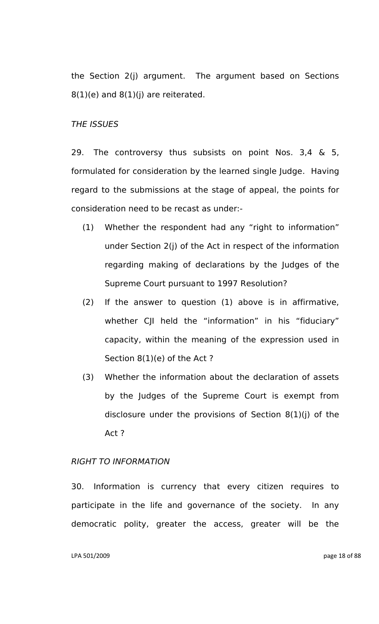the Section 2(j) argument. The argument based on Sections  $8(1)(e)$  and  $8(1)(i)$  are reiterated.

### *THE ISSUES*

29. The controversy thus subsists on point Nos. 3,4 & 5, formulated for consideration by the learned single Judge. Having regard to the submissions at the stage of appeal, the points for consideration need to be recast as under:-

- (1) Whether the respondent had any "right to information" under Section 2(j) of the Act in respect of the information regarding making of declarations by the Judges of the Supreme Court pursuant to 1997 Resolution?
- (2) If the answer to question (1) above is in affirmative, whether CJI held the "information" in his "fiduciary" capacity, within the meaning of the expression used in Section 8(1)(e) of the Act ?
- (3) Whether the information about the declaration of assets by the Judges of the Supreme Court is exempt from disclosure under the provisions of Section 8(1)(j) of the Act ?

## *RIGHT TO INFORMATION*

30. Information is currency that every citizen requires to participate in the life and governance of the society. In any democratic polity, greater the access, greater will be the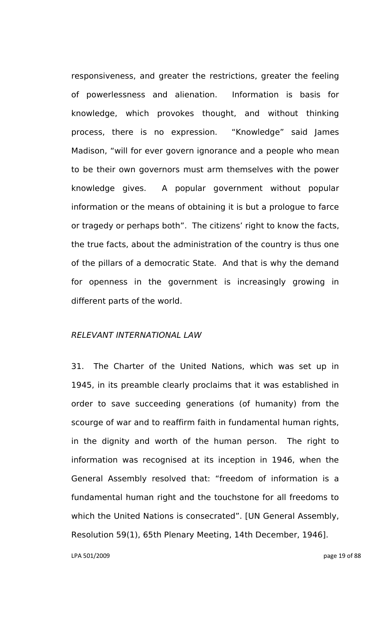responsiveness, and greater the restrictions, greater the feeling of powerlessness and alienation. Information is basis for knowledge, which provokes thought, and without thinking process, there is no expression. "Knowledge" said James Madison, "will for ever govern ignorance and a people who mean to be their own governors must arm themselves with the power knowledge gives. A popular government without popular information or the means of obtaining it is but a prologue to farce or tragedy or perhaps both". The citizens' right to know the facts, the true facts, about the administration of the country is thus one of the pillars of a democratic State. And that is why the demand for openness in the government is increasingly growing in different parts of the world.

# *RELEVANT INTERNATIONAL LAW*

31. The Charter of the United Nations, which was set up in 1945, in its preamble clearly proclaims that it was established in order to save succeeding generations (of humanity) from the scourge of war and to reaffirm faith in fundamental human rights, in the dignity and worth of the human person. The right to information was recognised at its inception in 1946, when the General Assembly resolved that: "freedom of information is a fundamental human right and the touchstone for all freedoms to which the United Nations is consecrated". [UN General Assembly, Resolution 59(1), 65th Plenary Meeting, 14th December, 1946].

LPA 501/2009 page 19 of 88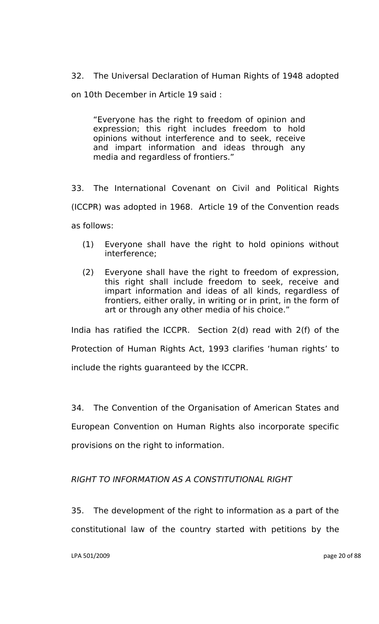32. The Universal Declaration of Human Rights of 1948 adopted

on 10th December in Article 19 said :

"Everyone has the right to freedom of opinion and expression; this right includes freedom to hold opinions without interference and to seek, receive and impart information and ideas through any media and regardless of frontiers."

33. The International Covenant on Civil and Political Rights (ICCPR) was adopted in 1968. Article 19 of the Convention reads as follows:

- (1) Everyone shall have the right to hold opinions without interference;
- (2) Everyone shall have the right to freedom of expression, this right shall include freedom to seek, receive and impart information and ideas of all kinds, regardless of frontiers, either orally, in writing or in print, in the form of art or through any other media of his choice."

India has ratified the ICCPR. Section 2(d) read with 2(f) of the Protection of Human Rights Act, 1993 clarifies "human rights" to include the rights guaranteed by the ICCPR.

34. The Convention of the Organisation of American States and European Convention on Human Rights also incorporate specific provisions on the right to information.

# *RIGHT TO INFORMATION AS A CONSTITUTIONAL RIGHT*

35. The development of the right to information as a part of the constitutional law of the country started with petitions by the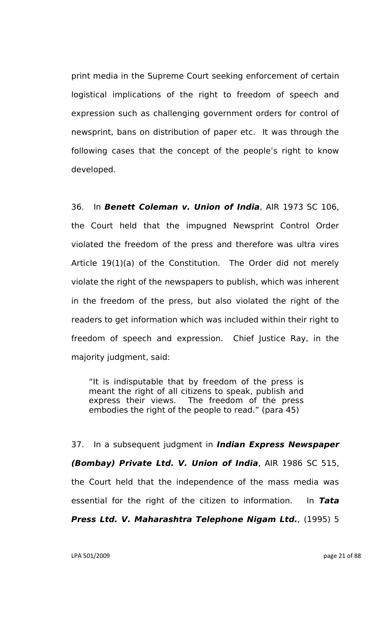print media in the Supreme Court seeking enforcement of certain logistical implications of the right to freedom of speech and expression such as challenging government orders for control of newsprint, bans on distribution of paper etc. It was through the following cases that the concept of the people's right to know developed.

36. In *Benett Coleman v. Union of India*, AIR 1973 SC 106, the Court held that the impugned Newsprint Control Order violated the freedom of the press and therefore was ultra vires Article 19(1)(a) of the Constitution. The Order did not merely violate the right of the newspapers to publish, which was inherent in the freedom of the press, but also violated the right of the readers to get information which was included within their right to freedom of speech and expression. Chief Justice Ray, in the majority judgment, said:

"It is indisputable that by freedom of the press is meant the right of all citizens to speak, publish and express their views. The freedom of the press embodies the right of the people to read." (para 45)

37. In a subsequent judgment in *Indian Express Newspaper (Bombay) Private Ltd. V. Union of India*, AIR 1986 SC 515, the Court held that the independence of the mass media was essential for the right of the citizen to information. In *Tata Press Ltd. V. Maharashtra Telephone Nigam Ltd.,* (1995) 5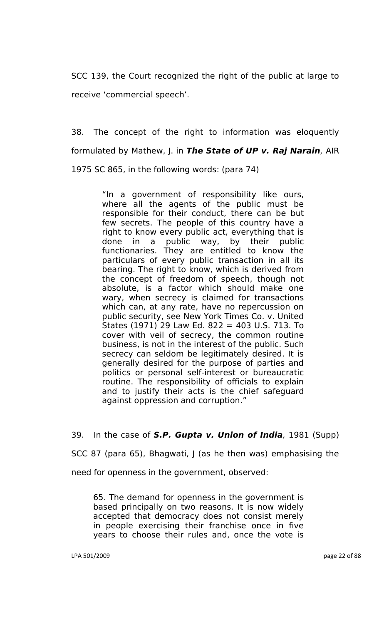SCC 139, the Court recognized the right of the public at large to receive "commercial speech".

38. The concept of the right to information was eloquently formulated by Mathew, J. in *The State of UP v. Raj Narain,* AIR 1975 SC 865, in the following words: (para 74)

> "In a government of responsibility like ours, where all the agents of the public must be responsible for their conduct, there can be but few secrets. The people of this country have a right to know every public act, everything that is done in a public way, by their public functionaries. They are entitled to know the particulars of every public transaction in all its bearing. The right to know, which is derived from the concept of freedom of speech, though not absolute, is a factor which should make one wary, when secrecy is claimed for transactions which can, at any rate, have no repercussion on public security, see New York Times Co. v. United States (1971) 29 Law Ed. 822 = 403 U.S. 713. To cover with veil of secrecy, the common routine business, is not in the interest of the public. Such secrecy can seldom be legitimately desired. It is generally desired for the purpose of parties and politics or personal self-interest or bureaucratic routine. The responsibility of officials to explain and to justify their acts is the chief safeguard against oppression and corruption."

39. In the case of *S.P. Gupta v. Union of India,* 1981 (Supp)

SCC 87 (para 65), Bhagwati, J (as he then was) emphasising the

need for openness in the government, observed:

65. The demand for openness in the government is based principally on two reasons. It is now widely accepted that democracy does not consist merely in people exercising their franchise once in five years to choose their rules and, once the vote is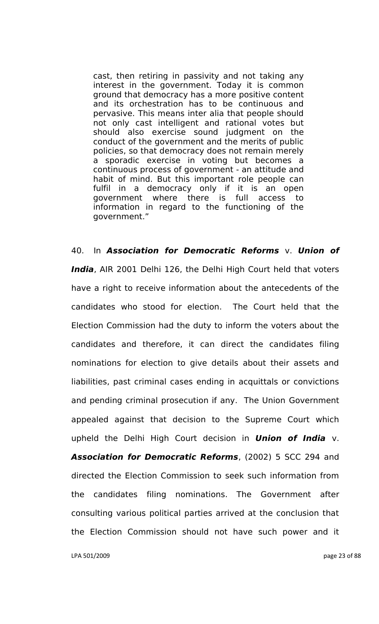cast, then retiring in passivity and not taking any interest in the government. Today it is common ground that democracy has a more positive content and its orchestration has to be continuous and pervasive. This means inter alia that people should not only cast intelligent and rational votes but should also exercise sound judgment on the conduct of the government and the merits of public policies, so that democracy does not remain merely a sporadic exercise in voting but becomes a continuous process of government - an attitude and habit of mind. But this important role people can fulfil in a democracy only if it is an open government where there is full access to information in regard to the functioning of the government."

40. In *Association for Democratic Reforms* v. *Union of India*, AIR 2001 Delhi 126, the Delhi High Court held that voters have a right to receive information about the antecedents of the candidates who stood for election. The Court held that the Election Commission had the duty to inform the voters about the candidates and therefore, it can direct the candidates filing nominations for election to give details about their assets and liabilities, past criminal cases ending in acquittals or convictions and pending criminal prosecution if any. The Union Government appealed against that decision to the Supreme Court which upheld the Delhi High Court decision in *Union of India* v. *Association for Democratic Reforms*, (2002) 5 SCC 294 and directed the Election Commission to seek such information from the candidates filing nominations. The Government after consulting various political parties arrived at the conclusion that the Election Commission should not have such power and it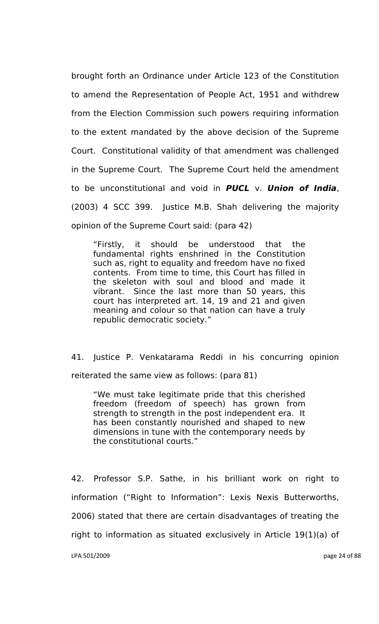brought forth an Ordinance under Article 123 of the Constitution to amend the Representation of People Act, 1951 and withdrew from the Election Commission such powers requiring information to the extent mandated by the above decision of the Supreme Court. Constitutional validity of that amendment was challenged in the Supreme Court. The Supreme Court held the amendment to be unconstitutional and void in *PUCL* v. *Union of India*, (2003) 4 SCC 399. Justice M.B. Shah delivering the majority opinion of the Supreme Court said: (para 42)

"Firstly, it should be understood that the fundamental rights enshrined in the Constitution such as, right to equality and freedom have no fixed contents. From time to time, this Court has filled in the skeleton with soul and blood and made it vibrant. Since the last more than 50 years, this court has interpreted art. 14, 19 and 21 and given meaning and colour so that nation can have a truly republic democratic society."

41. Justice P. Venkatarama Reddi in his concurring opinion reiterated the same view as follows: (para 81)

"We must take legitimate pride that this cherished freedom (freedom of speech) has grown from strength to strength in the post independent era. It has been constantly nourished and shaped to new dimensions in tune with the contemporary needs by the constitutional courts."

42. Professor S.P. Sathe, in his brilliant work on right to information ("Right to Information": Lexis Nexis Butterworths, 2006) stated that there are certain disadvantages of treating the right to information as situated exclusively in Article 19(1)(a) of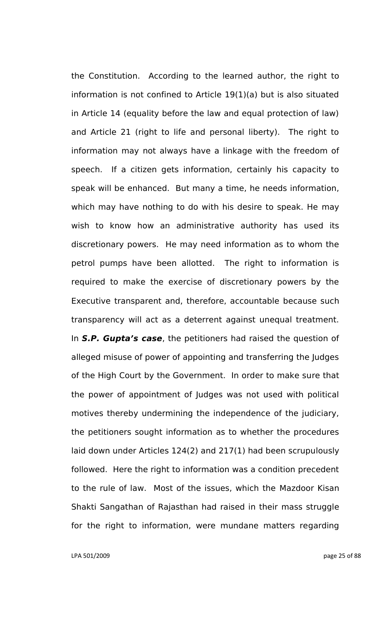the Constitution. According to the learned author, the right to information is not confined to Article 19(1)(a) but is also situated in Article 14 (equality before the law and equal protection of law) and Article 21 (right to life and personal liberty). The right to information may not always have a linkage with the freedom of speech. If a citizen gets information, certainly his capacity to speak will be enhanced. But many a time, he needs information, which may have nothing to do with his desire to speak. He may wish to know how an administrative authority has used its discretionary powers. He may need information as to whom the petrol pumps have been allotted. The right to information is required to make the exercise of discretionary powers by the Executive transparent and, therefore, accountable because such transparency will act as a deterrent against unequal treatment. In *S.P. Gupta's case*, the petitioners had raised the question of alleged misuse of power of appointing and transferring the Judges of the High Court by the Government. In order to make sure that the power of appointment of Judges was not used with political motives thereby undermining the independence of the judiciary, the petitioners sought information as to whether the procedures laid down under Articles 124(2) and 217(1) had been scrupulously followed. Here the right to information was a condition precedent to the rule of law. Most of the issues, which the Mazdoor Kisan Shakti Sangathan of Rajasthan had raised in their mass struggle for the right to information, were mundane matters regarding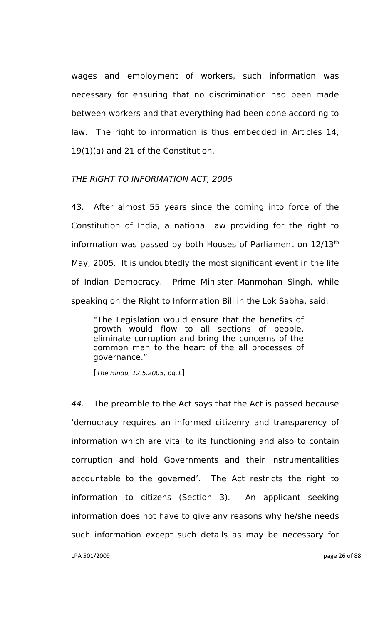wages and employment of workers, such information was necessary for ensuring that no discrimination had been made between workers and that everything had been done according to law. The right to information is thus embedded in Articles 14, 19(1)(a) and 21 of the Constitution.

# *THE RIGHT TO INFORMATION ACT, 2005*

43. After almost 55 years since the coming into force of the Constitution of India, a national law providing for the right to information was passed by both Houses of Parliament on 12/13<sup>th</sup> May, 2005. It is undoubtedly the most significant event in the life of Indian Democracy. Prime Minister Manmohan Singh, while speaking on the Right to Information Bill in the Lok Sabha, said:

"The Legislation would ensure that the benefits of growth would flow to all sections of people, eliminate corruption and bring the concerns of the common man to the heart of the all processes of governance."

[*The Hindu, 12.5.2005, pg.1*]

LPA 501/2009 page 26 of 88 *44.* The preamble to the Act says that the Act is passed because "democracy requires an informed citizenry and transparency of information which are vital to its functioning and also to contain corruption and hold Governments and their instrumentalities accountable to the governed". The Act restricts the right to information to citizens (Section 3). An applicant seeking information does not have to give any reasons why he/she needs such information except such details as may be necessary for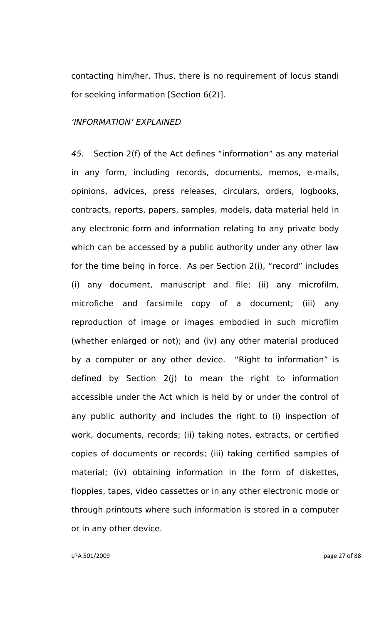contacting him/her. Thus, there is no requirement of locus standi for seeking information [Section 6(2)].

# *"INFORMATION" EXPLAINED*

*45.* Section 2(f) of the Act defines "information" as any material in any form, including records, documents, memos, e-mails, opinions, advices, press releases, circulars, orders, logbooks, contracts, reports, papers, samples, models, data material held in any electronic form and information relating to any private body which can be accessed by a public authority under any other law for the time being in force. As per Section 2(i), "record" includes (i) any document, manuscript and file; (ii) any microfilm, microfiche and facsimile copy of a document; (iii) any reproduction of image or images embodied in such microfilm (whether enlarged or not); and (iv) any other material produced by a computer or any other device. "Right to information" is defined by Section 2(j) to mean the right to information accessible under the Act which is held by or under the control of any public authority and includes the right to (i) inspection of work, documents, records; (ii) taking notes, extracts, or certified copies of documents or records; (iii) taking certified samples of material; (iv) obtaining information in the form of diskettes, floppies, tapes, video cassettes or in any other electronic mode or through printouts where such information is stored in a computer or in any other device.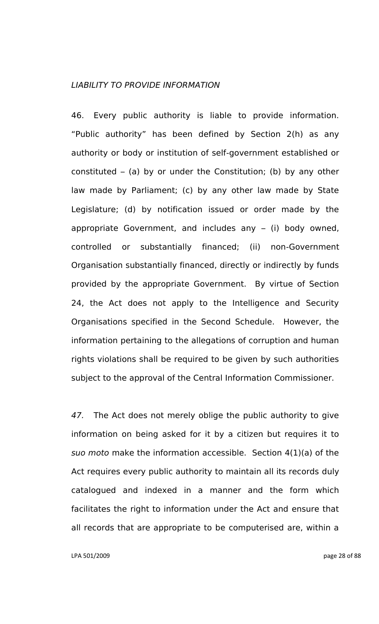## *LIABILITY TO PROVIDE INFORMATION*

46. Every public authority is liable to provide information. "Public authority" has been defined by Section 2(h) as any authority or body or institution of self-government established or constituted – (a) by or under the Constitution; (b) by any other law made by Parliament; (c) by any other law made by State Legislature; (d) by notification issued or order made by the appropriate Government, and includes any – (i) body owned, controlled or substantially financed; (ii) non-Government Organisation substantially financed, directly or indirectly by funds provided by the appropriate Government. By virtue of Section 24, the Act does not apply to the Intelligence and Security Organisations specified in the Second Schedule. However, the information pertaining to the allegations of corruption and human rights violations shall be required to be given by such authorities subject to the approval of the Central Information Commissioner.

*47.* The Act does not merely oblige the public authority to give information on being asked for it by a citizen but requires it to *suo moto* make the information accessible. Section 4(1)(a) of the Act requires every public authority to maintain all its records duly catalogued and indexed in a manner and the form which facilitates the right to information under the Act and ensure that all records that are appropriate to be computerised are, within a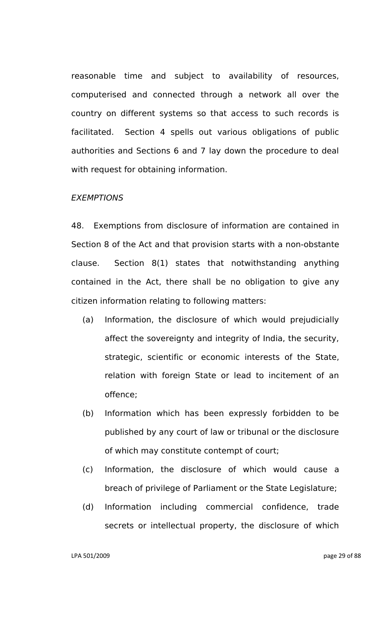reasonable time and subject to availability of resources, computerised and connected through a network all over the country on different systems so that access to such records is facilitated. Section 4 spells out various obligations of public authorities and Sections 6 and 7 lay down the procedure to deal with request for obtaining information.

#### *EXEMPTIONS*

48. Exemptions from disclosure of information are contained in Section 8 of the Act and that provision starts with a non-obstante clause. Section 8(1) states that notwithstanding anything contained in the Act, there shall be no obligation to give any citizen information relating to following matters:

- (a) Information, the disclosure of which would prejudicially affect the sovereignty and integrity of India, the security, strategic, scientific or economic interests of the State, relation with foreign State or lead to incitement of an offence;
- (b) Information which has been expressly forbidden to be published by any court of law or tribunal or the disclosure of which may constitute contempt of court;
- (c) Information, the disclosure of which would cause a breach of privilege of Parliament or the State Legislature;
- (d) Information including commercial confidence, trade secrets or intellectual property, the disclosure of which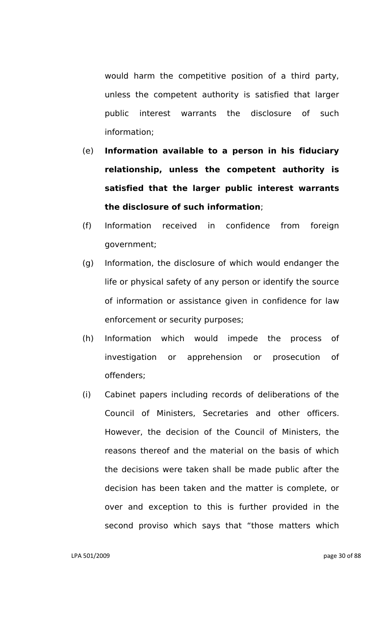would harm the competitive position of a third party, unless the competent authority is satisfied that larger public interest warrants the disclosure of such information;

- (e) **Information available to a person in his fiduciary relationship, unless the competent authority is satisfied that the larger public interest warrants the disclosure of such information**;
- (f) Information received in confidence from foreign government;
- (g) Information, the disclosure of which would endanger the life or physical safety of any person or identify the source of information or assistance given in confidence for law enforcement or security purposes;
- (h) Information which would impede the process of investigation or apprehension or prosecution of offenders;
- (i) Cabinet papers including records of deliberations of the Council of Ministers, Secretaries and other officers. However, the decision of the Council of Ministers, the reasons thereof and the material on the basis of which the decisions were taken shall be made public after the decision has been taken and the matter is complete, or over and exception to this is further provided in the second proviso which says that "those matters which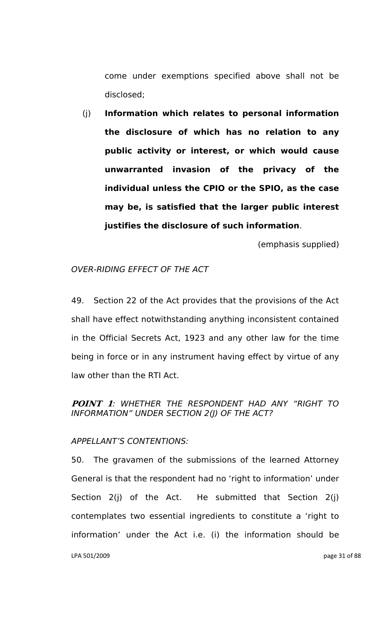come under exemptions specified above shall not be disclosed;

(j) **Information which relates to personal information the disclosure of which has no relation to any public activity or interest, or which would cause unwarranted invasion of the privacy of the individual unless the CPIO or the SPIO, as the case may be, is satisfied that the larger public interest justifies the disclosure of such information**.

(emphasis supplied)

# *OVER-RIDING EFFECT OF THE ACT*

49. Section 22 of the Act provides that the provisions of the Act shall have effect notwithstanding anything inconsistent contained in the Official Secrets Act, 1923 and any other law for the time being in force or in any instrument having effect by virtue of any law other than the RTI Act.

# **POINT 1***: WHETHER THE RESPONDENT HAD ANY "RIGHT TO INFORMATION" UNDER SECTION 2(J) OF THE ACT?*

# *APPELLANT"S CONTENTIONS:*

LPA 501/2009 page 31 of 88 50. The gravamen of the submissions of the learned Attorney General is that the respondent had no "right to information" under Section 2(j) of the Act. He submitted that Section 2(j) contemplates two essential ingredients to constitute a "right to information" under the Act i.e. (i) the information should be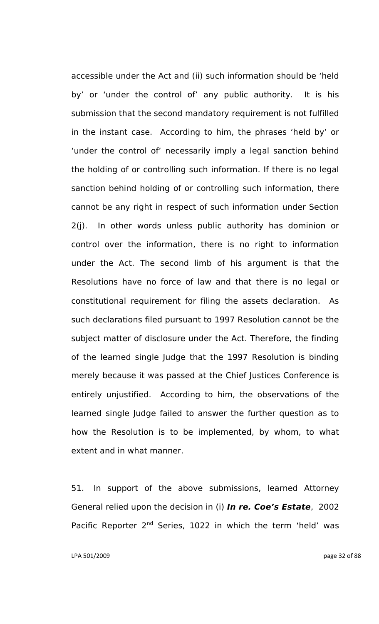accessible under the Act and (ii) such information should be "held by' or 'under the control of' any public authority. It is his submission that the second mandatory requirement is not fulfilled in the instant case. According to him, the phrases "held by" or 'under the control of' necessarily imply a legal sanction behind the holding of or controlling such information. If there is no legal sanction behind holding of or controlling such information, there cannot be any right in respect of such information under Section 2(j). In other words unless public authority has dominion or control over the information, there is no right to information under the Act. The second limb of his argument is that the Resolutions have no force of law and that there is no legal or constitutional requirement for filing the assets declaration. As such declarations filed pursuant to 1997 Resolution cannot be the subject matter of disclosure under the Act. Therefore, the finding of the learned single Judge that the 1997 Resolution is binding merely because it was passed at the Chief Justices Conference is entirely unjustified. According to him, the observations of the learned single Judge failed to answer the further question as to how the Resolution is to be implemented, by whom, to what extent and in what manner.

51. In support of the above submissions, learned Attorney General relied upon the decision in (i) *In re. Coe's Estate*, 2002 Pacific Reporter 2<sup>nd</sup> Series, 1022 in which the term 'held' was

LPA 501/2009 page 32 of 88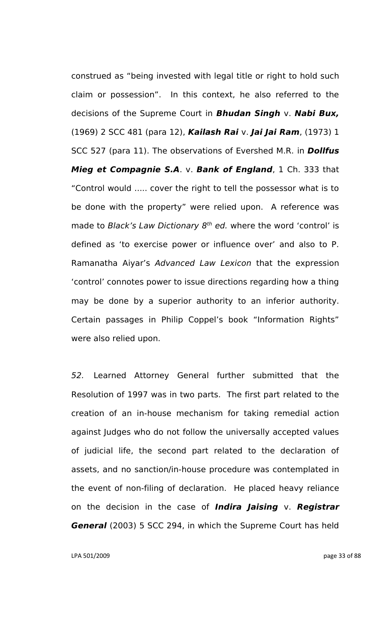construed as "being invested with legal title or right to hold such claim or possession". In this context, he also referred to the decisions of the Supreme Court in *Bhudan Singh* v. *Nabi Bux,* (1969) 2 SCC 481 (para 12), *Kailash Rai* v. *Jai Jai Ram*, (1973) 1 SCC 527 (para 11). The observations of Evershed M.R. in *Dollfus Mieg et Compagnie S.A*. v. *Bank of England*, 1 Ch. 333 that "Control would ..... cover the right to tell the possessor what is to be done with the property" were relied upon. A reference was made to *Black's Law Dictionary 8<sup>th</sup> ed.* where the word 'control' is defined as 'to exercise power or influence over' and also to P. Ramanatha Aiyar"s *Advanced Law Lexicon* that the expression "control" connotes power to issue directions regarding how a thing may be done by a superior authority to an inferior authority. Certain passages in Philip Coppel"s book "Information Rights" were also relied upon.

*52.* Learned Attorney General further submitted that the Resolution of 1997 was in two parts. The first part related to the creation of an in-house mechanism for taking remedial action against Judges who do not follow the universally accepted values of judicial life, the second part related to the declaration of assets, and no sanction/in-house procedure was contemplated in the event of non-filing of declaration. He placed heavy reliance on the decision in the case of *Indira Jaising* v. *Registrar General* (2003) 5 SCC 294, in which the Supreme Court has held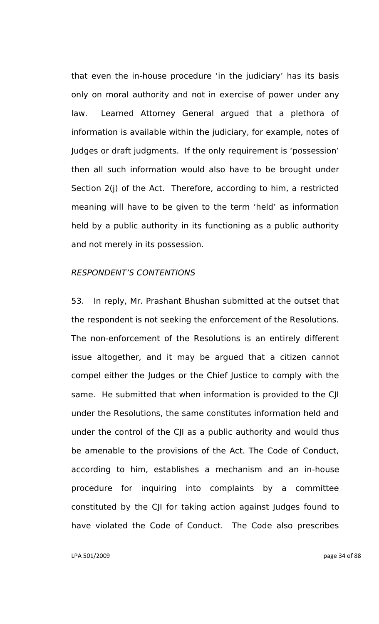that even the in-house procedure "in the judiciary" has its basis only on moral authority and not in exercise of power under any law. Learned Attorney General argued that a plethora of information is available within the judiciary, for example, notes of Judges or draft judgments. If the only requirement is "possession" then all such information would also have to be brought under Section 2(j) of the Act. Therefore, according to him, a restricted meaning will have to be given to the term "held" as information held by a public authority in its functioning as a public authority and not merely in its possession.

### *RESPONDENT"S CONTENTIONS*

53. In reply, Mr. Prashant Bhushan submitted at the outset that the respondent is not seeking the enforcement of the Resolutions. The non-enforcement of the Resolutions is an entirely different issue altogether, and it may be argued that a citizen cannot compel either the Judges or the Chief Justice to comply with the same. He submitted that when information is provided to the CJI under the Resolutions, the same constitutes information held and under the control of the CJI as a public authority and would thus be amenable to the provisions of the Act. The Code of Conduct, according to him, establishes a mechanism and an in-house procedure for inquiring into complaints by a committee constituted by the CJI for taking action against Judges found to have violated the Code of Conduct. The Code also prescribes

LPA 501/2009 page 34 of 88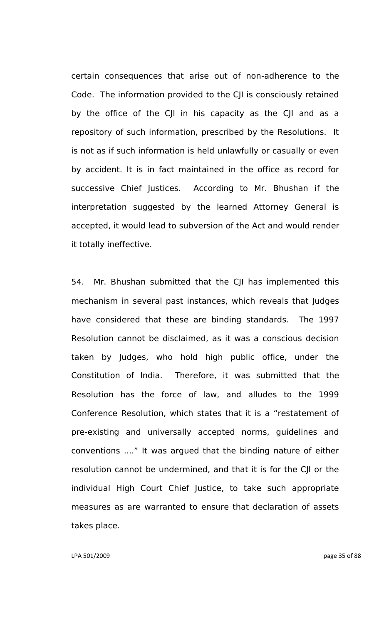certain consequences that arise out of non-adherence to the Code. The information provided to the CJI is consciously retained by the office of the CJI in his capacity as the CJI and as a repository of such information, prescribed by the Resolutions. It is not as if such information is held unlawfully or casually or even by accident. It is in fact maintained in the office as record for successive Chief Justices. According to Mr. Bhushan if the interpretation suggested by the learned Attorney General is accepted, it would lead to subversion of the Act and would render it totally ineffective.

54. Mr. Bhushan submitted that the CJI has implemented this mechanism in several past instances, which reveals that Judges have considered that these are binding standards. The 1997 Resolution cannot be disclaimed, as it was a conscious decision taken by Judges, who hold high public office, under the Constitution of India. Therefore, it was submitted that the Resolution has the force of law, and alludes to the 1999 Conference Resolution, which states that it is a "restatement of pre-existing and universally accepted norms, guidelines and conventions ...." It was argued that the binding nature of either resolution cannot be undermined, and that it is for the CJI or the individual High Court Chief Justice, to take such appropriate measures as are warranted to ensure that declaration of assets takes place.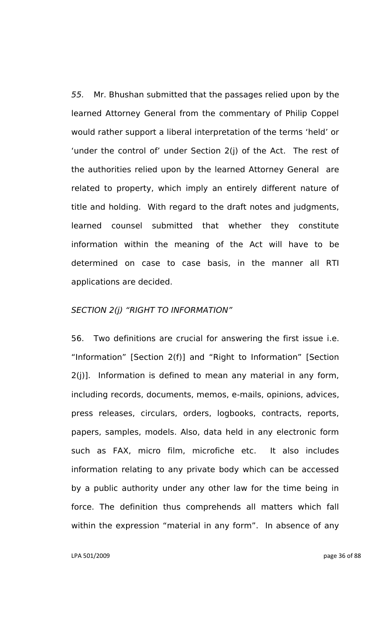*55.* Mr. Bhushan submitted that the passages relied upon by the learned Attorney General from the commentary of Philip Coppel would rather support a liberal interpretation of the terms "held" or 'under the control of' under Section 2(j) of the Act. The rest of the authorities relied upon by the learned Attorney General are related to property, which imply an entirely different nature of title and holding. With regard to the draft notes and judgments, learned counsel submitted that whether they constitute information within the meaning of the Act will have to be determined on case to case basis, in the manner all RTI applications are decided.

### *SECTION 2(j) "RIGHT TO INFORMATION"*

56. Two definitions are crucial for answering the first issue i.e. "Information" [Section 2(f)] and "Right to Information" [Section 2(j)]. Information is defined to mean any material in any form, including records, documents, memos, e-mails, opinions, advices, press releases, circulars, orders, logbooks, contracts, reports, papers, samples, models. Also, data held in any electronic form such as FAX, micro film, microfiche etc. It also includes information relating to any private body which can be accessed by a public authority under any other law for the time being in force. The definition thus comprehends all matters which fall within the expression "material in any form". In absence of any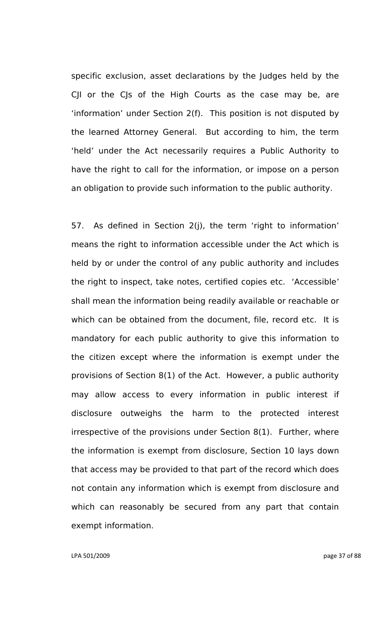specific exclusion, asset declarations by the Judges held by the CJI or the CJs of the High Courts as the case may be, are "information" under Section 2(f). This position is not disputed by the learned Attorney General. But according to him, the term "held" under the Act necessarily requires a Public Authority to have the right to call for the information, or impose on a person an obligation to provide such information to the public authority.

57. As defined in Section 2(j), the term 'right to information' means the right to information accessible under the Act which is held by or under the control of any public authority and includes the right to inspect, take notes, certified copies etc. "Accessible" shall mean the information being readily available or reachable or which can be obtained from the document, file, record etc. It is mandatory for each public authority to give this information to the citizen except where the information is exempt under the provisions of Section 8(1) of the Act. However, a public authority may allow access to every information in public interest if disclosure outweighs the harm to the protected interest irrespective of the provisions under Section 8(1). Further, where the information is exempt from disclosure, Section 10 lays down that access may be provided to that part of the record which does not contain any information which is exempt from disclosure and which can reasonably be secured from any part that contain exempt information.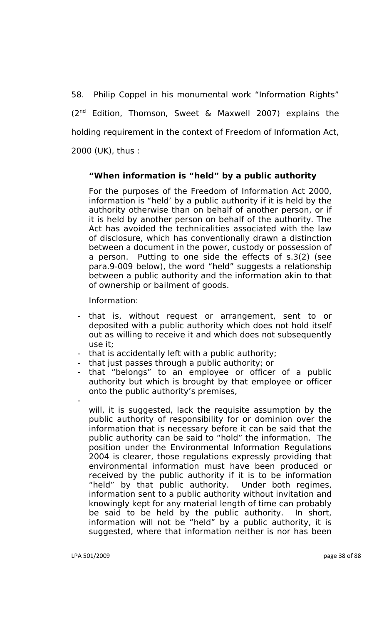58. Philip Coppel in his monumental work "Information Rights" (2nd Edition, Thomson, Sweet & Maxwell 2007) explains the holding requirement in the context of Freedom of Information Act, 2000 (UK), thus :

## **"When information is "held" by a public authority**

For the purposes of the Freedom of Information Act 2000, information is "held" by a public authority if it is held by the authority otherwise than on behalf of another person, or if it is held by another person on behalf of the authority. The Act has avoided the technicalities associated with the law of disclosure, which has conventionally drawn a distinction between a document in the power, custody or possession of a person. Putting to one side the effects of s.3(2) (see para.9-009 below), the word "held" suggests a relationship between a public authority and the information akin to that of ownership or bailment of goods.

Information:

- that is, without request or arrangement, sent to or deposited with a public authority which does not hold itself out as willing to receive it and which does not subsequently use it;
- that is accidentally left with a public authority;
- that just passes through a public authority; or
- that "belongs" to an employee or officer of a public authority but which is brought by that employee or officer onto the public authority"s premises,
	- will, it is suggested, lack the requisite assumption by the public authority of responsibility for or dominion over the information that is necessary before it can be said that the public authority can be said to "hold" the information. The position under the Environmental Information Regulations 2004 is clearer, those regulations expressly providing that environmental information must have been produced or received by the public authority if it is to be information "held" by that public authority. Under both regimes, information sent to a public authority without invitation and knowingly kept for any material length of time can probably be said to be held by the public authority. In short, information will not be "held" by a public authority, it is suggested, where that information neither is nor has been

-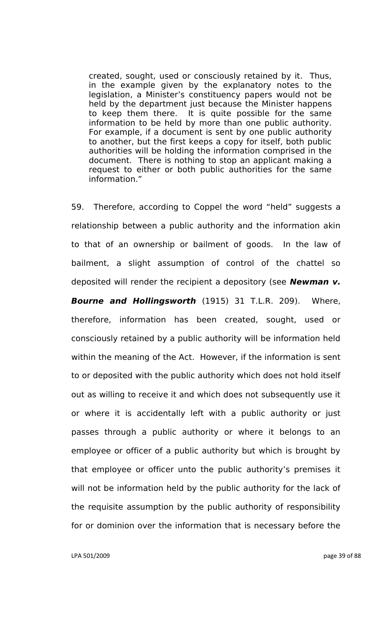created, sought, used or consciously retained by it. Thus, in the example given by the explanatory notes to the legislation, a Minister's constituency papers would not be held by the department just because the Minister happens to keep them there. It is quite possible for the same information to be held by more than one public authority. For example, if a document is sent by one public authority to another, but the first keeps a copy for itself, both public authorities will be holding the information comprised in the document. There is nothing to stop an applicant making a request to either or both public authorities for the same information."

59. Therefore, according to Coppel the word "held" suggests a relationship between a public authority and the information akin to that of an ownership or bailment of goods. In the law of bailment, a slight assumption of control of the chattel so deposited will render the recipient a depository (see *Newman v. Bourne and Hollingsworth* (1915) 31 T.L.R. 209). Where, therefore, information has been created, sought, used or consciously retained by a public authority will be information held within the meaning of the Act. However, if the information is sent to or deposited with the public authority which does not hold itself out as willing to receive it and which does not subsequently use it or where it is accidentally left with a public authority or just passes through a public authority or where it belongs to an employee or officer of a public authority but which is brought by that employee or officer unto the public authority"s premises it will not be information held by the public authority for the lack of the requisite assumption by the public authority of responsibility for or dominion over the information that is necessary before the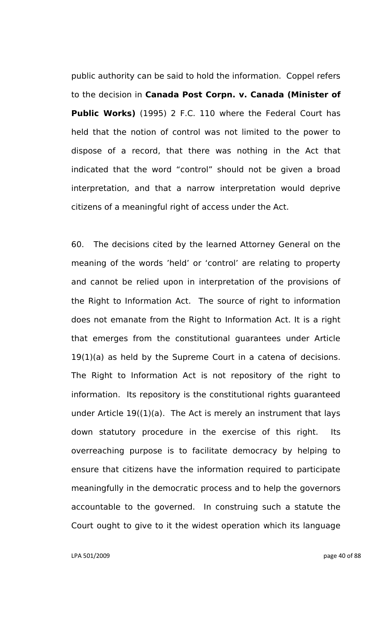public authority can be said to hold the information. Coppel refers to the decision in **Canada Post Corpn. v. Canada (Minister of Public Works)** (1995) 2 F.C. 110 where the Federal Court has held that the notion of control was not limited to the power to dispose of a record, that there was nothing in the Act that indicated that the word "control" should not be given a broad interpretation, and that a narrow interpretation would deprive citizens of a meaningful right of access under the Act.

60. The decisions cited by the learned Attorney General on the meaning of the words "held" or "control" are relating to property and cannot be relied upon in interpretation of the provisions of the Right to Information Act. The source of right to information does not emanate from the Right to Information Act. It is a right that emerges from the constitutional guarantees under Article 19(1)(a) as held by the Supreme Court in a catena of decisions. The Right to Information Act is not repository of the right to information. Its repository is the constitutional rights guaranteed under Article 19((1)(a). The Act is merely an instrument that lays down statutory procedure in the exercise of this right. Its overreaching purpose is to facilitate democracy by helping to ensure that citizens have the information required to participate meaningfully in the democratic process and to help the governors accountable to the governed. In construing such a statute the Court ought to give to it the widest operation which its language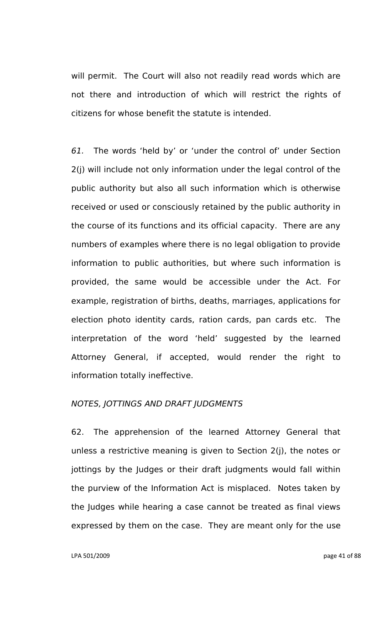will permit. The Court will also not readily read words which are not there and introduction of which will restrict the rights of citizens for whose benefit the statute is intended.

*61.* The words "held by" or "under the control of" under Section 2(j) will include not only information under the legal control of the public authority but also all such information which is otherwise received or used or consciously retained by the public authority in the course of its functions and its official capacity. There are any numbers of examples where there is no legal obligation to provide information to public authorities, but where such information is provided, the same would be accessible under the Act. For example, registration of births, deaths, marriages, applications for election photo identity cards, ration cards, pan cards etc. The interpretation of the word "held" suggested by the learned Attorney General, if accepted, would render the right to information totally ineffective.

#### *NOTES, JOTTINGS AND DRAFT JUDGMENTS*

62. The apprehension of the learned Attorney General that unless a restrictive meaning is given to Section 2(j), the notes or jottings by the Judges or their draft judgments would fall within the purview of the Information Act is misplaced. Notes taken by the Judges while hearing a case cannot be treated as final views expressed by them on the case. They are meant only for the use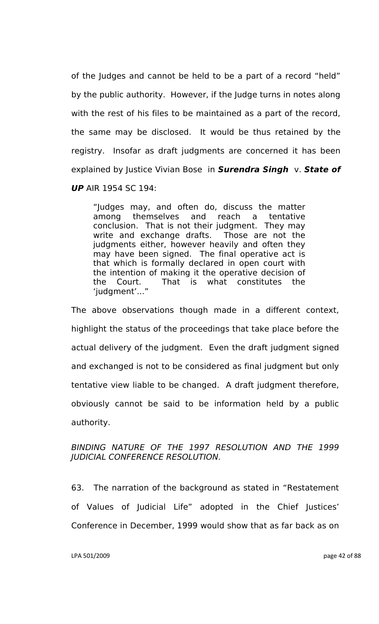of the Judges and cannot be held to be a part of a record "held" by the public authority. However, if the Judge turns in notes along with the rest of his files to be maintained as a part of the record, the same may be disclosed. It would be thus retained by the registry. Insofar as draft judgments are concerned it has been explained by Justice Vivian Bose in *Surendra Singh* v. *State of UP* AIR 1954 SC 194:

"Judges may, and often do, discuss the matter among themselves and reach a tentative conclusion. That is not their judgment. They may write and exchange drafts. Those are not the judgments either, however heavily and often they may have been signed. The final operative act is that which is formally declared in open court with the intention of making it the operative decision of the Court. That is what constitutes the 'judgment'...'

The above observations though made in a different context, highlight the status of the proceedings that take place before the actual delivery of the judgment. Even the draft judgment signed and exchanged is not to be considered as final judgment but only tentative view liable to be changed. A draft judgment therefore, obviously cannot be said to be information held by a public authority.

# *BINDING NATURE OF THE 1997 RESOLUTION AND THE 1999 JUDICIAL CONFERENCE RESOLUTION.*

63. The narration of the background as stated in "Restatement of Values of Judicial Life" adopted in the Chief Justices" Conference in December, 1999 would show that as far back as on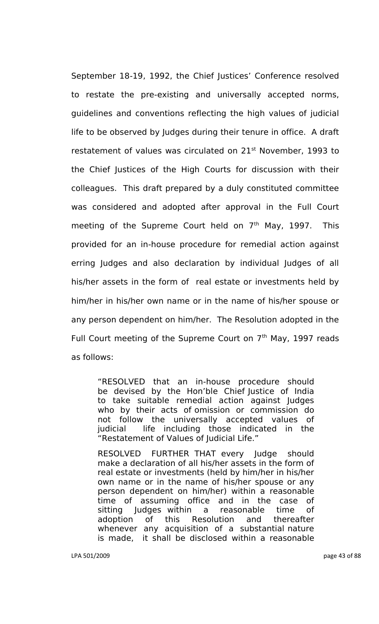September 18-19, 1992, the Chief Justices' Conference resolved to restate the pre-existing and universally accepted norms, guidelines and conventions reflecting the high values of judicial life to be observed by Judges during their tenure in office. A draft restatement of values was circulated on 21<sup>st</sup> November, 1993 to the Chief Justices of the High Courts for discussion with their colleagues. This draft prepared by a duly constituted committee was considered and adopted after approval in the Full Court meeting of the Supreme Court held on  $7<sup>th</sup>$  May, 1997. This provided for an in-house procedure for remedial action against erring Judges and also declaration by individual Judges of all his/her assets in the form of real estate or investments held by him/her in his/her own name or in the name of his/her spouse or any person dependent on him/her. The Resolution adopted in the Full Court meeting of the Supreme Court on  $7<sup>th</sup>$  May, 1997 reads as follows:

"RESOLVED that an in-house procedure should be devised by the Hon"ble Chief Justice of India to take suitable remedial action against Judges who by their acts of omission or commission do not follow the universally accepted values of judicial life including those indicated in the "Restatement of Values of Judicial Life."

RESOLVED FURTHER THAT every Judge should make a declaration of all his/her assets in the form of real estate or investments (held by him/her in his/her own name or in the name of his/her spouse or any person dependent on him/her) within a reasonable time of assuming office and in the case of sitting Judges within a reasonable time of adoption of this Resolution and thereafter whenever any acquisition of a substantial nature is made, it shall be disclosed within a reasonable

LPA 501/2009 page 43 of 88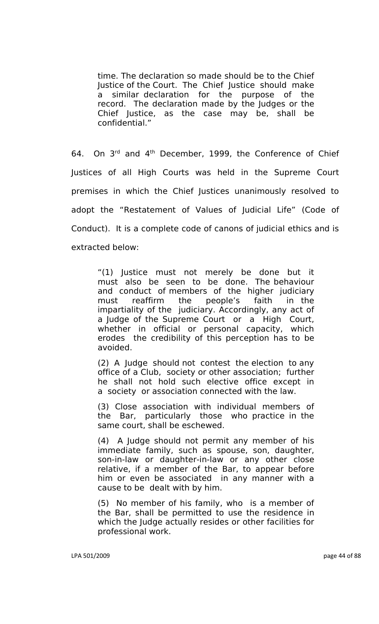time. The declaration so made should be to the Chief Justice of the Court. The Chief Justice should make a similar declaration for the purpose of the record. The declaration made by the Judges or the Chief Justice, as the case may be, shall be confidential."

64. On 3rd and 4th December, 1999, the Conference of Chief Justices of all High Courts was held in the Supreme Court premises in which the Chief Justices unanimously resolved to adopt the "Restatement of Values of Judicial Life" (Code of Conduct). It is a complete code of canons of judicial ethics and is extracted below:

"(1) Justice must not merely be done but it must also be seen to be done. The behaviour and conduct of members of the higher judiciary must reaffirm the people"s faith in the impartiality of the judiciary. Accordingly, any act of a Judge of the Supreme Court or a High Court, whether in official or personal capacity, which erodes the credibility of this perception has to be avoided.

(2) A Judge should not contest the election to any office of a Club, society or other association; further he shall not hold such elective office except in a society or association connected with the law.

(3) Close association with individual members of the Bar, particularly those who practice in the same court, shall be eschewed.

(4) A Judge should not permit any member of his immediate family, such as spouse, son, daughter, son-in-law or daughter-in-law or any other close relative, if a member of the Bar, to appear before him or even be associated in any manner with a cause to be dealt with by him.

(5) No member of his family, who is a member of the Bar, shall be permitted to use the residence in which the Judge actually resides or other facilities for professional work.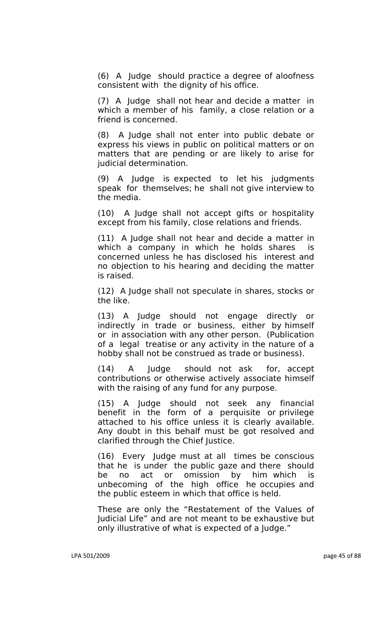(6) A Judge should practice a degree of aloofness consistent with the dignity of his office.

(7) A Judge shall not hear and decide a matter in which a member of his family, a close relation or a friend is concerned.

(8) A Judge shall not enter into public debate or express his views in public on political matters or on matters that are pending or are likely to arise for judicial determination.

(9) A Judge is expected to let his judgments speak for themselves; he shall not give interview to the media.

(10) A Judge shall not accept gifts or hospitality except from his family, close relations and friends.

(11) A Judge shall not hear and decide a matter in which a company in which he holds shares is concerned unless he has disclosed his interest and no objection to his hearing and deciding the matter is raised.

(12) A Judge shall not speculate in shares, stocks or the like.

 $(13)$  A Judge should not engage directly indirectly in trade or business, either by himself or in association with any other person. (Publication of a legal treatise or any activity in the nature of a hobby shall not be construed as trade or business).

(14) A Judge should not ask for, accept contributions or otherwise actively associate himself with the raising of any fund for any purpose.

(15) A Judge should not seek any financial benefit in the form of a perquisite or privilege attached to his office unless it is clearly available. Any doubt in this behalf must be got resolved and clarified through the Chief Justice.

(16) Every Judge must at all times be conscious that he is under the public gaze and there should be no act or omission by him which is unbecoming of the high office he occupies and the public esteem in which that office is held.

These are only the "Restatement of the Values of Judicial Life" and are not meant to be exhaustive but only illustrative of what is expected of a Judge."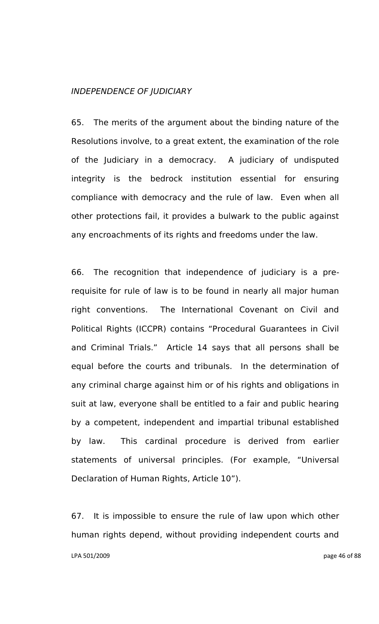#### *INDEPENDENCE OF JUDICIARY*

65. The merits of the argument about the binding nature of the Resolutions involve, to a great extent, the examination of the role of the Judiciary in a democracy. A judiciary of undisputed integrity is the bedrock institution essential for ensuring compliance with democracy and the rule of law. Even when all other protections fail, it provides a bulwark to the public against any encroachments of its rights and freedoms under the law.

66. The recognition that independence of judiciary is a prerequisite for rule of law is to be found in nearly all major human right conventions. The International Covenant on Civil and Political Rights (ICCPR) contains "Procedural Guarantees in Civil and Criminal Trials." Article 14 says that all persons shall be equal before the courts and tribunals. In the determination of any criminal charge against him or of his rights and obligations in suit at law, everyone shall be entitled to a fair and public hearing by a competent, independent and impartial tribunal established by law. This cardinal procedure is derived from earlier statements of universal principles. (For example, "Universal Declaration of Human Rights, Article 10").

LPA 501/2009 page 46 of 88 67. It is impossible to ensure the rule of law upon which other human rights depend, without providing independent courts and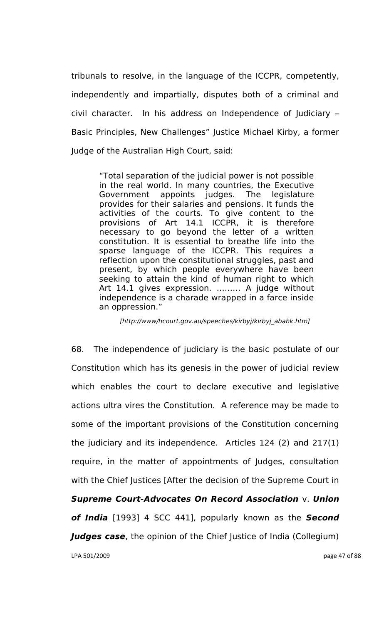tribunals to resolve, in the language of the ICCPR, competently, independently and impartially, disputes both of a criminal and civil character. In his address on Independence of Judiciary – Basic Principles, New Challenges" Justice Michael Kirby, a former Judge of the Australian High Court, said:

> "Total separation of the judicial power is not possible in the real world. In many countries, the Executive Government appoints judges. The legislature provides for their salaries and pensions. It funds the activities of the courts. To give content to the provisions of Art 14.1 ICCPR, it is therefore necessary to go beyond the letter of a written constitution. It is essential to breathe life into the sparse language of the ICCPR. This requires a reflection upon the constitutional struggles, past and present, by which people everywhere have been seeking to attain the kind of human right to which Art 14.1 gives expression. ……… A judge without independence is a charade wrapped in a farce inside an oppression."

*[http://www/hcourt.gov.au/speeches/kirbyj/kirbyj\_abahk.htm]*

LPA 501/2009 page 47 of 88 68. The independence of judiciary is the basic postulate of our Constitution which has its genesis in the power of judicial review which enables the court to declare executive and legislative actions ultra vires the Constitution. A reference may be made to some of the important provisions of the Constitution concerning the judiciary and its independence. Articles 124 (2) and 217(1) require, in the matter of appointments of Judges, consultation with the Chief Justices [After the decision of the Supreme Court in *Supreme Court-Advocates On Record Association* v. *Union of India* [1993] 4 SCC 441], popularly known as the *Second Judges case*, the opinion of the Chief Justice of India (Collegium)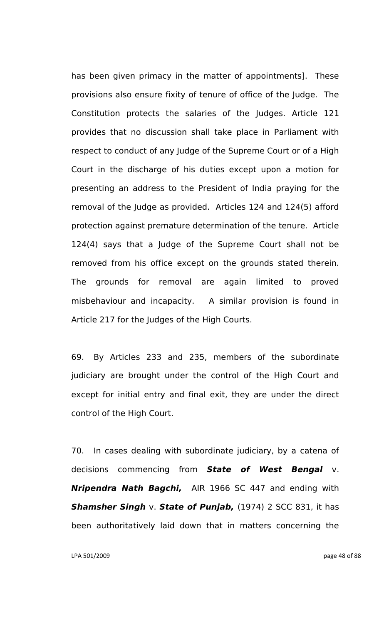has been given primacy in the matter of appointments]. These provisions also ensure fixity of tenure of office of the Judge. The Constitution protects the salaries of the Judges. Article 121 provides that no discussion shall take place in Parliament with respect to conduct of any Judge of the Supreme Court or of a High Court in the discharge of his duties except upon a motion for presenting an address to the President of India praying for the removal of the Judge as provided. Articles 124 and 124(5) afford protection against premature determination of the tenure. Article 124(4) says that a Judge of the Supreme Court shall not be removed from his office except on the grounds stated therein. The grounds for removal are again limited to proved misbehaviour and incapacity. A similar provision is found in Article 217 for the Judges of the High Courts.

69. By Articles 233 and 235, members of the subordinate judiciary are brought under the control of the High Court and except for initial entry and final exit, they are under the direct control of the High Court.

70. In cases dealing with subordinate judiciary, by a catena of decisions commencing from *State of West Bengal* v. *Nripendra Nath Bagchi,* AIR 1966 SC 447 and ending with **Shamsher Singh v. State of Punjab,** (1974) 2 SCC 831, it has been authoritatively laid down that in matters concerning the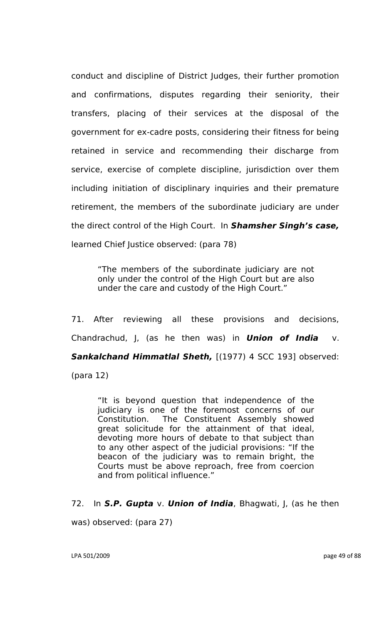conduct and discipline of District Judges, their further promotion and confirmations, disputes regarding their seniority, their transfers, placing of their services at the disposal of the government for ex-cadre posts, considering their fitness for being retained in service and recommending their discharge from service, exercise of complete discipline, jurisdiction over them including initiation of disciplinary inquiries and their premature retirement, the members of the subordinate judiciary are under the direct control of the High Court. In *Shamsher Singh's case,* learned Chief Justice observed: (para 78)

"The members of the subordinate judiciary are not only under the control of the High Court but are also under the care and custody of the High Court."

71. After reviewing all these provisions and decisions, Chandrachud, J, (as he then was) in *Union of India* v. *Sankalchand Himmatlal Sheth,* [(1977) 4 SCC 193] observed: (para 12)

"It is beyond question that independence of the judiciary is one of the foremost concerns of our Constitution. The Constituent Assembly showed great solicitude for the attainment of that ideal, devoting more hours of debate to that subject than to any other aspect of the judicial provisions: "If the beacon of the judiciary was to remain bright, the Courts must be above reproach, free from coercion and from political influence."

#### 72. In *S.P. Gupta* v. *Union of India*, Bhagwati, J, (as he then

was) observed: (para 27)

LPA 501/2009 page 49 of 88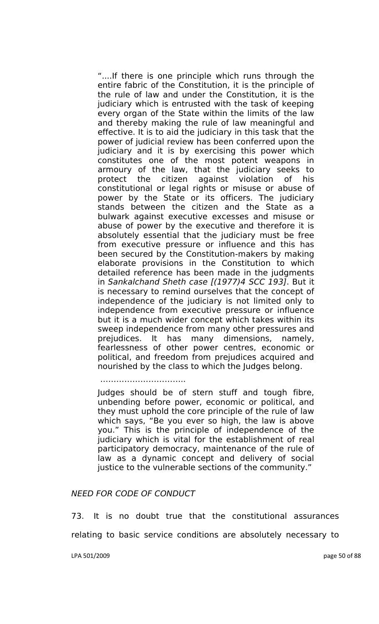"....If there is one principle which runs through the entire fabric of the Constitution, it is the principle of the rule of law and under the Constitution, it is the judiciary which is entrusted with the task of keeping every organ of the State within the limits of the law and thereby making the rule of law meaningful and effective. It is to aid the judiciary in this task that the power of judicial review has been conferred upon the judiciary and it is by exercising this power which constitutes one of the most potent weapons in armoury of the law, that the judiciary seeks to protect the citizen against violation of his constitutional or legal rights or misuse or abuse of power by the State or its officers. The judiciary stands between the citizen and the State as a bulwark against executive excesses and misuse or abuse of power by the executive and therefore it is absolutely essential that the judiciary must be free from executive pressure or influence and this has been secured by the Constitution-makers by making elaborate provisions in the Constitution to which detailed reference has been made in the judgments in *Sankalchand Sheth case [(1977)4 SCC 193]*. But it is necessary to remind ourselves that the concept of independence of the judiciary is not limited only to independence from executive pressure or influence but it is a much wider concept which takes within its sweep independence from many other pressures and prejudices. It has many dimensions, namely, fearlessness of other power centres, economic or political, and freedom from prejudices acquired and nourished by the class to which the Judges belong.

…………………………..

Judges should be of stern stuff and tough fibre, unbending before power, economic or political, and they must uphold the core principle of the rule of law which says, "Be you ever so high, the law is above you." This is the principle of independence of the judiciary which is vital for the establishment of real participatory democracy, maintenance of the rule of law as a dynamic concept and delivery of social justice to the vulnerable sections of the community."

#### *NEED FOR CODE OF CONDUCT*

73. It is no doubt true that the constitutional assurances

relating to basic service conditions are absolutely necessary to

LPA 501/2009 page 50 of 88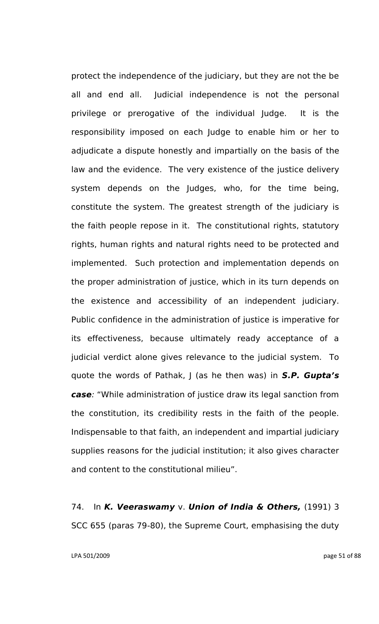protect the independence of the judiciary, but they are not the be all and end all. Judicial independence is not the personal privilege or prerogative of the individual Judge. It is the responsibility imposed on each Judge to enable him or her to adjudicate a dispute honestly and impartially on the basis of the law and the evidence. The very existence of the justice delivery system depends on the Judges, who, for the time being, constitute the system. The greatest strength of the judiciary is the faith people repose in it. The constitutional rights, statutory rights, human rights and natural rights need to be protected and implemented. Such protection and implementation depends on the proper administration of justice, which in its turn depends on the existence and accessibility of an independent judiciary. Public confidence in the administration of justice is imperative for its effectiveness, because ultimately ready acceptance of a judicial verdict alone gives relevance to the judicial system. To quote the words of Pathak, J (as he then was) in *S.P. Gupta's case:* "While administration of justice draw its legal sanction from the constitution, its credibility rests in the faith of the people. Indispensable to that faith, an independent and impartial judiciary supplies reasons for the judicial institution; it also gives character and content to the constitutional milieu".

74. In *K. Veeraswamy* v. *Union of India & Others,* (1991) 3 SCC 655 (paras 79-80), the Supreme Court, emphasising the duty

LPA 501/2009 page 51 of 88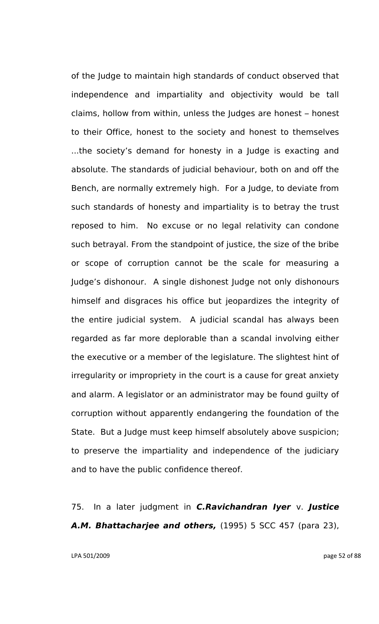of the Judge to maintain high standards of conduct observed that independence and impartiality and objectivity would be tall claims, hollow from within, unless the Judges are honest – honest to their Office, honest to the society and honest to themselves ...the society"s demand for honesty in a Judge is exacting and absolute. The standards of judicial behaviour, both on and off the Bench, are normally extremely high. For a Judge, to deviate from such standards of honesty and impartiality is to betray the trust reposed to him. No excuse or no legal relativity can condone such betrayal. From the standpoint of justice, the size of the bribe or scope of corruption cannot be the scale for measuring a Judge"s dishonour. A single dishonest Judge not only dishonours himself and disgraces his office but jeopardizes the integrity of the entire judicial system. A judicial scandal has always been regarded as far more deplorable than a scandal involving either the executive or a member of the legislature. The slightest hint of irregularity or impropriety in the court is a cause for great anxiety and alarm. A legislator or an administrator may be found guilty of corruption without apparently endangering the foundation of the State. But a Judge must keep himself absolutely above suspicion; to preserve the impartiality and independence of the judiciary and to have the public confidence thereof.

75. In a later judgment in *C.Ravichandran Iyer* v. *Justice A.M. Bhattacharjee and others,* (1995) 5 SCC 457 (para 23),

LPA 501/2009 page 52 of 88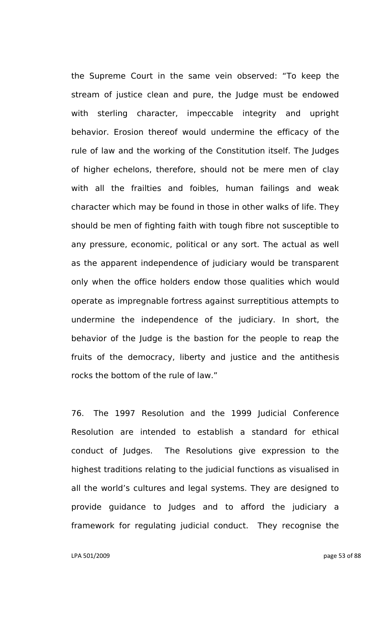the Supreme Court in the same vein observed: "To keep the stream of justice clean and pure, the Judge must be endowed with sterling character, impeccable integrity and upright behavior. Erosion thereof would undermine the efficacy of the rule of law and the working of the Constitution itself. The Judges of higher echelons, therefore, should not be mere men of clay with all the frailties and foibles, human failings and weak character which may be found in those in other walks of life. They should be men of fighting faith with tough fibre not susceptible to any pressure, economic, political or any sort. The actual as well as the apparent independence of judiciary would be transparent only when the office holders endow those qualities which would operate as impregnable fortress against surreptitious attempts to undermine the independence of the judiciary. In short, the behavior of the Judge is the bastion for the people to reap the fruits of the democracy, liberty and justice and the antithesis rocks the bottom of the rule of law."

76. The 1997 Resolution and the 1999 Judicial Conference Resolution are intended to establish a standard for ethical conduct of Judges. The Resolutions give expression to the highest traditions relating to the judicial functions as visualised in all the world"s cultures and legal systems. They are designed to provide guidance to Judges and to afford the judiciary a framework for regulating judicial conduct. They recognise the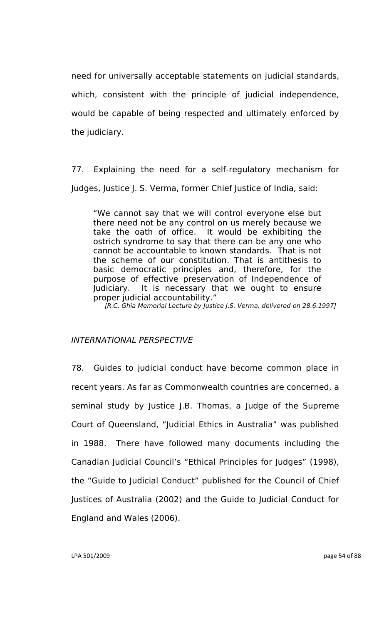need for universally acceptable statements on judicial standards, which, consistent with the principle of judicial independence, would be capable of being respected and ultimately enforced by the judiciary.

77. Explaining the need for a self-regulatory mechanism for Judges, Justice J. S. Verma, former Chief Justice of India, said:

"We cannot say that we will control everyone else but there need not be any control on us merely because we take the oath of office. It would be exhibiting the ostrich syndrome to say that there can be any one who cannot be accountable to known standards. That is not the scheme of our constitution. That is antithesis to basic democratic principles and, therefore, for the purpose of effective preservation of Independence of Judiciary. It is necessary that we ought to ensure proper judicial accountability."

 *[R.C. Ghia Memorial Lecture by Justice J.S. Verma, delivered on 28.6.1997]*

### *INTERNATIONAL PERSPECTIVE*

78. Guides to judicial conduct have become common place in recent years. As far as Commonwealth countries are concerned, a seminal study by Justice J.B. Thomas, a Judge of the Supreme Court of Queensland, "Judicial Ethics in Australia" was published in 1988. There have followed many documents including the Canadian Judicial Council"s "Ethical Principles for Judges" (1998), the "Guide to Judicial Conduct" published for the Council of Chief Justices of Australia (2002) and the Guide to Judicial Conduct for England and Wales (2006).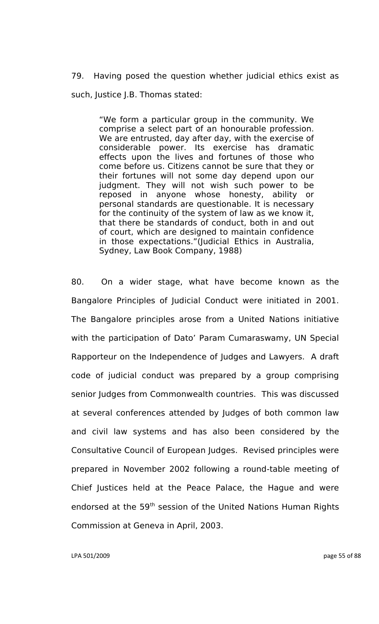79. Having posed the question whether judicial ethics exist as such, Justice J.B. Thomas stated:

> "We form a particular group in the community. We comprise a select part of an honourable profession. We are entrusted, day after day, with the exercise of considerable power. Its exercise has dramatic effects upon the lives and fortunes of those who come before us. Citizens cannot be sure that they or their fortunes will not some day depend upon our judgment. They will not wish such power to be reposed in anyone whose honesty, ability or personal standards are questionable. It is necessary for the continuity of the system of law as we know it, that there be standards of conduct, both in and out of court, which are designed to maintain confidence in those expectations."(Judicial Ethics in Australia, Sydney, Law Book Company, 1988)

80. On a wider stage, what have become known as the Bangalore Principles of Judicial Conduct were initiated in 2001. The Bangalore principles arose from a United Nations initiative with the participation of Dato' Param Cumaraswamy, UN Special Rapporteur on the Independence of Judges and Lawyers. A draft code of judicial conduct was prepared by a group comprising senior Judges from Commonwealth countries. This was discussed at several conferences attended by Judges of both common law and civil law systems and has also been considered by the Consultative Council of European Judges. Revised principles were prepared in November 2002 following a round-table meeting of Chief Justices held at the Peace Palace, the Hague and were endorsed at the 59<sup>th</sup> session of the United Nations Human Rights Commission at Geneva in April, 2003.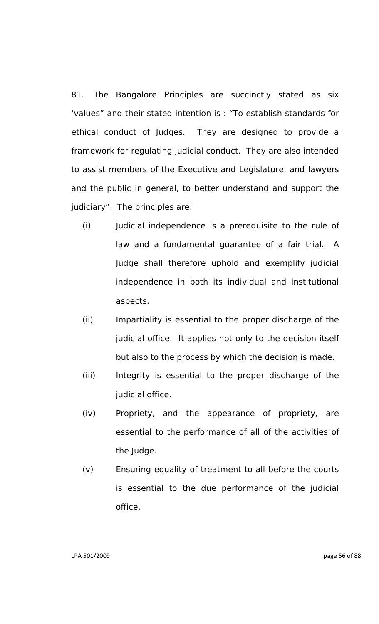81. The Bangalore Principles are succinctly stated as six "values" and their stated intention is : "To establish standards for ethical conduct of Judges. They are designed to provide a framework for regulating judicial conduct. They are also intended to assist members of the Executive and Legislature, and lawyers and the public in general, to better understand and support the judiciary". The principles are:

- (i) Judicial independence is a prerequisite to the rule of law and a fundamental guarantee of a fair trial. A Judge shall therefore uphold and exemplify judicial independence in both its individual and institutional aspects.
- (ii) Impartiality is essential to the proper discharge of the judicial office. It applies not only to the decision itself but also to the process by which the decision is made.
- (iii) Integrity is essential to the proper discharge of the judicial office.
- (iv) Propriety, and the appearance of propriety, are essential to the performance of all of the activities of the Judge.
- (v) Ensuring equality of treatment to all before the courts is essential to the due performance of the judicial office.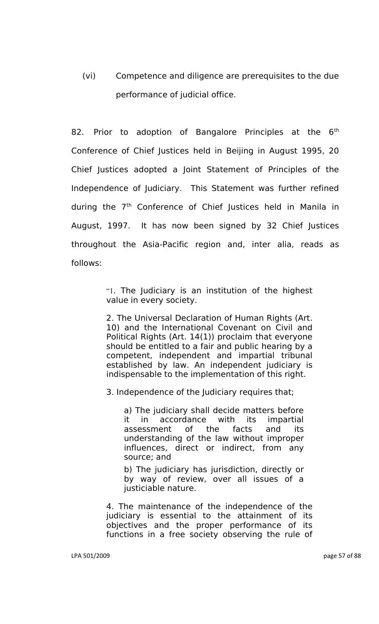(vi) Competence and diligence are prerequisites to the due performance of judicial office.

82. Prior to adoption of Bangalore Principles at the  $6<sup>th</sup>$ Conference of Chief Justices held in Beijing in August 1995, 20 Chief Justices adopted a Joint Statement of Principles of the Independence of Judiciary. This Statement was further refined during the  $7<sup>th</sup>$  Conference of Chief Justices held in Manila in August, 1997. It has now been signed by 32 Chief Justices throughout the Asia-Pacific region and, inter alia, reads as follows:

> "1. The Judiciary is an institution of the highest value in every society.

> 2. The Universal Declaration of Human Rights (Art. 10) and the International Covenant on Civil and Political Rights (Art. 14(1)) proclaim that everyone should be entitled to a fair and public hearing by a competent, independent and impartial tribunal established by law. An independent judiciary is indispensable to the implementation of this right.

3. Independence of the Judiciary requires that;

a) The judiciary shall decide matters before it in accordance with its impartial assessment of the facts and its understanding of the law without improper influences, direct or indirect, from any source; and

b) The judiciary has jurisdiction, directly or by way of review, over all issues of a justiciable nature.

4. The maintenance of the independence of the judiciary is essential to the attainment of its objectives and the proper performance of its functions in a free society observing the rule of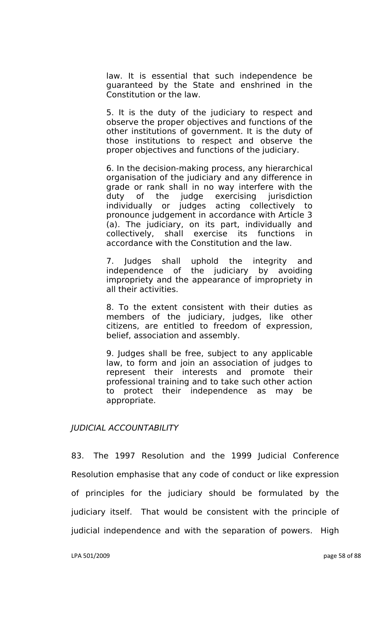law. It is essential that such independence be guaranteed by the State and enshrined in the Constitution or the law.

5. It is the duty of the judiciary to respect and observe the proper objectives and functions of the other institutions of government. It is the duty of those institutions to respect and observe the proper objectives and functions of the judiciary.

6. In the decision-making process, any hierarchical organisation of the judiciary and any difference in grade or rank shall in no way interfere with the duty of the judge exercising jurisdiction individually or judges acting collectively to pronounce judgement in accordance with Article 3 (a). The judiciary, on its part, individually and collectively, shall exercise its functions in accordance with the Constitution and the law.

7. Judges shall uphold the integrity and independence of the judiciary by avoiding impropriety and the appearance of impropriety in all their activities.

8. To the extent consistent with their duties as members of the judiciary, judges, like other citizens, are entitled to freedom of expression, belief, association and assembly.

9. Judges shall be free, subject to any applicable law, to form and join an association of judges to represent their interests and promote their professional training and to take such other action to protect their independence as may be appropriate.

### *JUDICIAL ACCOUNTABILITY*

83. The 1997 Resolution and the 1999 Judicial Conference Resolution emphasise that any code of conduct or like expression of principles for the judiciary should be formulated by the judiciary itself. That would be consistent with the principle of judicial independence and with the separation of powers. High

LPA 501/2009 page 58 of 88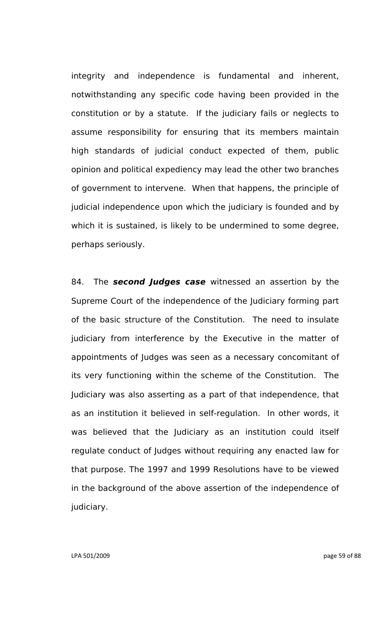integrity and independence is fundamental and inherent, notwithstanding any specific code having been provided in the constitution or by a statute. If the judiciary fails or neglects to assume responsibility for ensuring that its members maintain high standards of judicial conduct expected of them, public opinion and political expediency may lead the other two branches of government to intervene. When that happens, the principle of judicial independence upon which the judiciary is founded and by which it is sustained, is likely to be undermined to some degree, perhaps seriously.

84. The *second Judges case* witnessed an assertion by the Supreme Court of the independence of the Judiciary forming part of the basic structure of the Constitution. The need to insulate judiciary from interference by the Executive in the matter of appointments of Judges was seen as a necessary concomitant of its very functioning within the scheme of the Constitution. The Judiciary was also asserting as a part of that independence, that as an institution it believed in self-regulation. In other words, it was believed that the Judiciary as an institution could itself regulate conduct of Judges without requiring any enacted law for that purpose. The 1997 and 1999 Resolutions have to be viewed in the background of the above assertion of the independence of judiciary.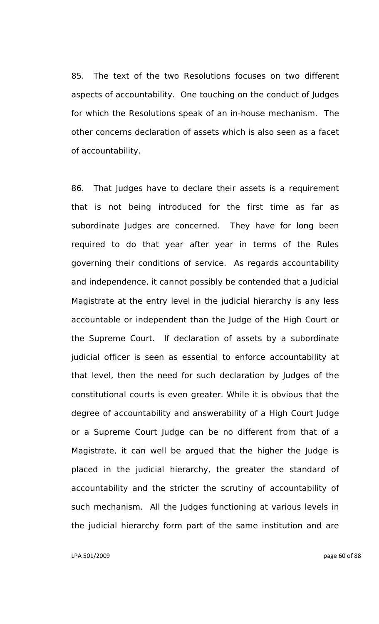85. The text of the two Resolutions focuses on two different aspects of accountability. One touching on the conduct of Judges for which the Resolutions speak of an in-house mechanism. The other concerns declaration of assets which is also seen as a facet of accountability.

86. That Judges have to declare their assets is a requirement that is not being introduced for the first time as far as subordinate Judges are concerned. They have for long been required to do that year after year in terms of the Rules governing their conditions of service. As regards accountability and independence, it cannot possibly be contended that a Judicial Magistrate at the entry level in the judicial hierarchy is any less accountable or independent than the Judge of the High Court or the Supreme Court. If declaration of assets by a subordinate judicial officer is seen as essential to enforce accountability at that level, then the need for such declaration by Judges of the constitutional courts is even greater. While it is obvious that the degree of accountability and answerability of a High Court Judge or a Supreme Court Judge can be no different from that of a Magistrate, it can well be argued that the higher the Judge is placed in the judicial hierarchy, the greater the standard of accountability and the stricter the scrutiny of accountability of such mechanism. All the Judges functioning at various levels in the judicial hierarchy form part of the same institution and are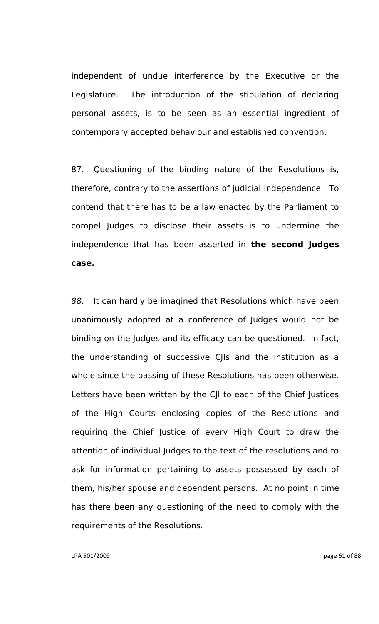independent of undue interference by the Executive or the Legislature. The introduction of the stipulation of declaring personal assets, is to be seen as an essential ingredient of contemporary accepted behaviour and established convention.

87. Questioning of the binding nature of the Resolutions is, therefore, contrary to the assertions of judicial independence. To contend that there has to be a law enacted by the Parliament to compel Judges to disclose their assets is to undermine the independence that has been asserted in **the second Judges case.**

*88.* It can hardly be imagined that Resolutions which have been unanimously adopted at a conference of Judges would not be binding on the Judges and its efficacy can be questioned. In fact, the understanding of successive CJIs and the institution as a whole since the passing of these Resolutions has been otherwise. Letters have been written by the CJI to each of the Chief Justices of the High Courts enclosing copies of the Resolutions and requiring the Chief Justice of every High Court to draw the attention of individual Judges to the text of the resolutions and to ask for information pertaining to assets possessed by each of them, his/her spouse and dependent persons. At no point in time has there been any questioning of the need to comply with the requirements of the Resolutions.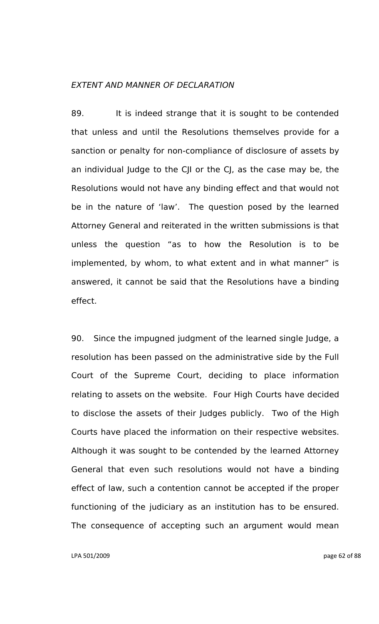### *EXTENT AND MANNER OF DECLARATION*

89. It is indeed strange that it is sought to be contended that unless and until the Resolutions themselves provide for a sanction or penalty for non-compliance of disclosure of assets by an individual Judge to the CJI or the CJ, as the case may be, the Resolutions would not have any binding effect and that would not be in the nature of 'law'. The question posed by the learned Attorney General and reiterated in the written submissions is that unless the question "as to how the Resolution is to be implemented, by whom, to what extent and in what manner" is answered, it cannot be said that the Resolutions have a binding effect.

90. Since the impugned judgment of the learned single Judge, a resolution has been passed on the administrative side by the Full Court of the Supreme Court, deciding to place information relating to assets on the website. Four High Courts have decided to disclose the assets of their Judges publicly. Two of the High Courts have placed the information on their respective websites. Although it was sought to be contended by the learned Attorney General that even such resolutions would not have a binding effect of law, such a contention cannot be accepted if the proper functioning of the judiciary as an institution has to be ensured. The consequence of accepting such an argument would mean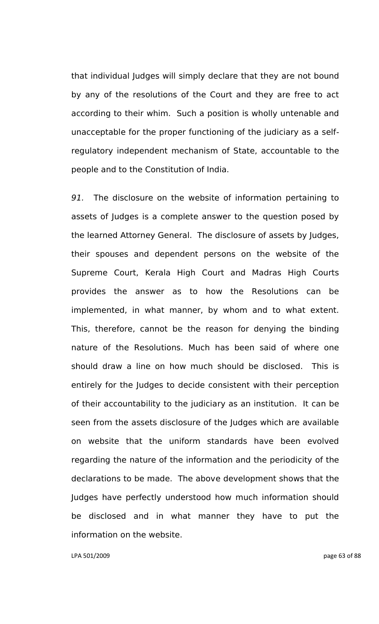that individual Judges will simply declare that they are not bound by any of the resolutions of the Court and they are free to act according to their whim. Such a position is wholly untenable and unacceptable for the proper functioning of the judiciary as a selfregulatory independent mechanism of State, accountable to the people and to the Constitution of India.

*91.* The disclosure on the website of information pertaining to assets of Judges is a complete answer to the question posed by the learned Attorney General. The disclosure of assets by Judges, their spouses and dependent persons on the website of the Supreme Court, Kerala High Court and Madras High Courts provides the answer as to how the Resolutions can be implemented, in what manner, by whom and to what extent. This, therefore, cannot be the reason for denying the binding nature of the Resolutions. Much has been said of where one should draw a line on how much should be disclosed. This is entirely for the Judges to decide consistent with their perception of their accountability to the judiciary as an institution. It can be seen from the assets disclosure of the Judges which are available on website that the uniform standards have been evolved regarding the nature of the information and the periodicity of the declarations to be made. The above development shows that the Judges have perfectly understood how much information should be disclosed and in what manner they have to put the information on the website.

LPA 501/2009 page 63 of 88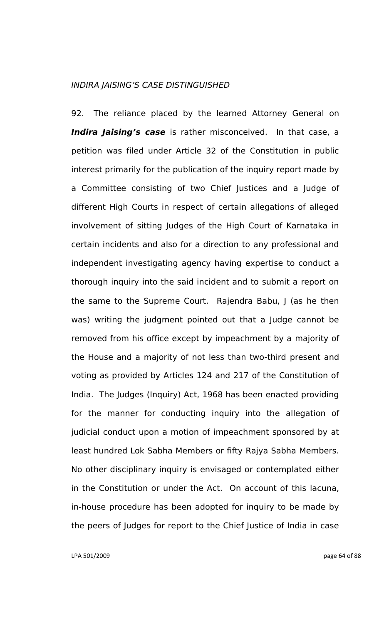### *INDIRA JAISING"S CASE DISTINGUISHED*

92. The reliance placed by the learned Attorney General on *Indira Jaising's case* is rather misconceived. In that case, a petition was filed under Article 32 of the Constitution in public interest primarily for the publication of the inquiry report made by a Committee consisting of two Chief Justices and a Judge of different High Courts in respect of certain allegations of alleged involvement of sitting Judges of the High Court of Karnataka in certain incidents and also for a direction to any professional and independent investigating agency having expertise to conduct a thorough inquiry into the said incident and to submit a report on the same to the Supreme Court. Rajendra Babu, J (as he then was) writing the judgment pointed out that a Judge cannot be removed from his office except by impeachment by a majority of the House and a majority of not less than two-third present and voting as provided by Articles 124 and 217 of the Constitution of India. The Judges (Inquiry) Act, 1968 has been enacted providing for the manner for conducting inquiry into the allegation of judicial conduct upon a motion of impeachment sponsored by at least hundred Lok Sabha Members or fifty Rajya Sabha Members. No other disciplinary inquiry is envisaged or contemplated either in the Constitution or under the Act. On account of this lacuna, in-house procedure has been adopted for inquiry to be made by the peers of Judges for report to the Chief Justice of India in case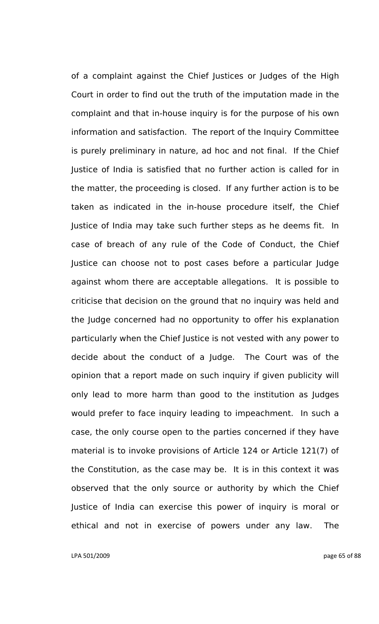of a complaint against the Chief Justices or Judges of the High Court in order to find out the truth of the imputation made in the complaint and that in-house inquiry is for the purpose of his own information and satisfaction. The report of the Inquiry Committee is purely preliminary in nature, ad hoc and not final. If the Chief Justice of India is satisfied that no further action is called for in the matter, the proceeding is closed. If any further action is to be taken as indicated in the in-house procedure itself, the Chief Justice of India may take such further steps as he deems fit. In case of breach of any rule of the Code of Conduct, the Chief Justice can choose not to post cases before a particular Judge against whom there are acceptable allegations. It is possible to criticise that decision on the ground that no inquiry was held and the Judge concerned had no opportunity to offer his explanation particularly when the Chief Justice is not vested with any power to decide about the conduct of a Judge. The Court was of the opinion that a report made on such inquiry if given publicity will only lead to more harm than good to the institution as Judges would prefer to face inquiry leading to impeachment. In such a case, the only course open to the parties concerned if they have material is to invoke provisions of Article 124 or Article 121(7) of the Constitution, as the case may be. It is in this context it was observed that the only source or authority by which the Chief Justice of India can exercise this power of inquiry is moral or ethical and not in exercise of powers under any law. The

LPA 501/2009 page 65 of 88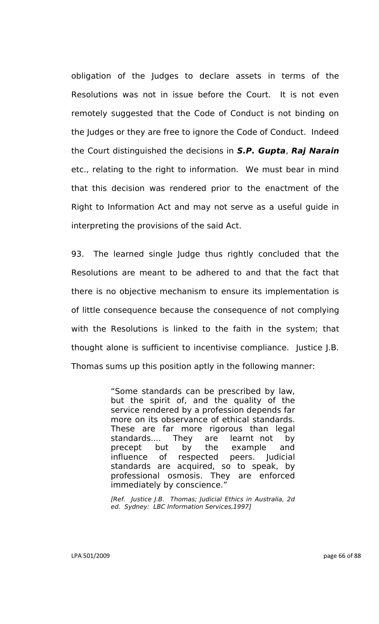obligation of the Judges to declare assets in terms of the Resolutions was not in issue before the Court. It is not even remotely suggested that the Code of Conduct is not binding on the Judges or they are free to ignore the Code of Conduct. Indeed the Court distinguished the decisions in *S.P. Gupta*, *Raj Narain* etc., relating to the right to information. We must bear in mind that this decision was rendered prior to the enactment of the Right to Information Act and may not serve as a useful guide in interpreting the provisions of the said Act.

93. The learned single Judge thus rightly concluded that the Resolutions are meant to be adhered to and that the fact that there is no objective mechanism to ensure its implementation is of little consequence because the consequence of not complying with the Resolutions is linked to the faith in the system; that thought alone is sufficient to incentivise compliance. Justice J.B. Thomas sums up this position aptly in the following manner:

> "Some standards can be prescribed by law, but the spirit of, and the quality of the service rendered by a profession depends far more on its observance of ethical standards. These are far more rigorous than legal standards.... They are learnt not by precept but by the example and influence of respected peers. Judicial standards are acquired, so to speak, by professional osmosis. They are enforced immediately by conscience."

*[Ref. Justice J.B. Thomas; Judicial Ethics in Australia, 2d ed. Sydney: LBC Information Services,1997]*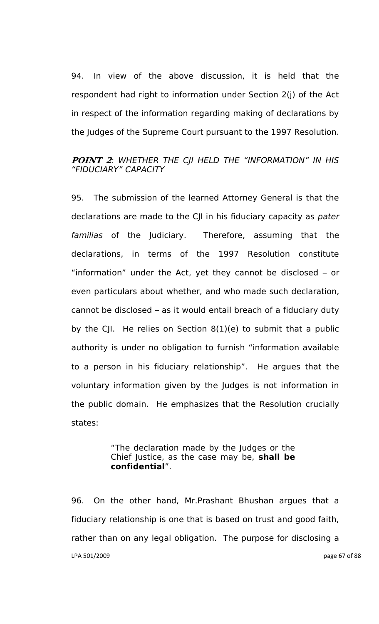94. In view of the above discussion, it is held that the respondent had right to information under Section 2(j) of the Act in respect of the information regarding making of declarations by the Judges of the Supreme Court pursuant to the 1997 Resolution.

### **POINT 2***: WHETHER THE CJI HELD THE "INFORMATION" IN HIS "FIDUCIARY" CAPACITY*

95. The submission of the learned Attorney General is that the declarations are made to the CJI in his fiduciary capacity as *pater familias* of the Judiciary. Therefore, assuming that the declarations, in terms of the 1997 Resolution constitute "information" under the Act, yet they cannot be disclosed – or even particulars about whether, and who made such declaration, cannot be disclosed – as it would entail breach of a fiduciary duty by the CJI. He relies on Section 8(1)(e) to submit that a public authority is under no obligation to furnish "information available to a person in his fiduciary relationship". He argues that the voluntary information given by the Judges is not information in the public domain. He emphasizes that the Resolution crucially states:

### "The declaration made by the Judges or the Chief Justice, as the case may be, **shall be confidential**".

LPA 501/2009 page 67 of 88 96. On the other hand, Mr.Prashant Bhushan argues that a fiduciary relationship is one that is based on trust and good faith, rather than on any legal obligation. The purpose for disclosing a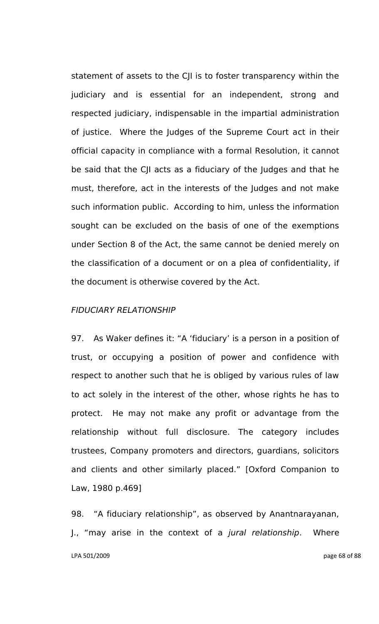statement of assets to the CJI is to foster transparency within the judiciary and is essential for an independent, strong and respected judiciary, indispensable in the impartial administration of justice. Where the Judges of the Supreme Court act in their official capacity in compliance with a formal Resolution, it cannot be said that the CJI acts as a fiduciary of the Judges and that he must, therefore, act in the interests of the Judges and not make such information public. According to him, unless the information sought can be excluded on the basis of one of the exemptions under Section 8 of the Act, the same cannot be denied merely on the classification of a document or on a plea of confidentiality, if the document is otherwise covered by the Act.

### *FIDUCIARY RELATIONSHIP*

97. As Waker defines it: "A "fiduciary" is a person in a position of trust, or occupying a position of power and confidence with respect to another such that he is obliged by various rules of law to act solely in the interest of the other, whose rights he has to protect. He may not make any profit or advantage from the relationship without full disclosure. The category includes trustees, Company promoters and directors, guardians, solicitors and clients and other similarly placed." [Oxford Companion to Law, 1980 p.469]

LPA 501/2009 page 68 of 88 98. "A fiduciary relationship", as observed by Anantnarayanan, J., "may arise in the context of a *jural relationship*. Where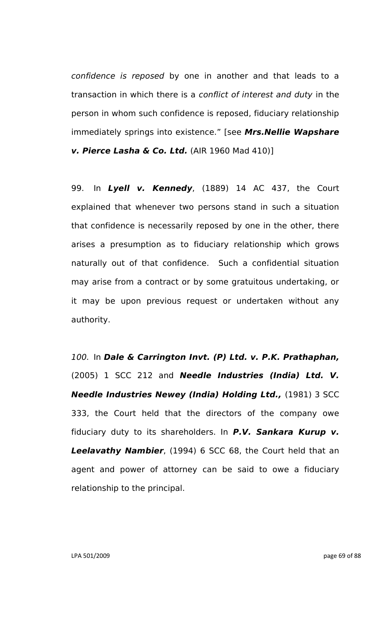*confidence is reposed* by one in another and that leads to a transaction in which there is a *conflict of interest and duty* in the person in whom such confidence is reposed, fiduciary relationship immediately springs into existence." [see *Mrs.Nellie Wapshare v. Pierce Lasha & Co. Ltd.* (AIR 1960 Mad 410)]

99. In *Lyell v. Kennedy*, (1889) 14 AC 437, the Court explained that whenever two persons stand in such a situation that confidence is necessarily reposed by one in the other, there arises a presumption as to fiduciary relationship which grows naturally out of that confidence. Such a confidential situation may arise from a contract or by some gratuitous undertaking, or it may be upon previous request or undertaken without any authority.

*100.* In *Dale & Carrington Invt. (P) Ltd. v. P.K. Prathaphan,* (2005) 1 SCC 212 and *Needle Industries (India) Ltd. V. Needle Industries Newey (India) Holding Ltd.,* (1981) 3 SCC 333, the Court held that the directors of the company owe fiduciary duty to its shareholders. In *P.V. Sankara Kurup v. Leelavathy Nambier*, (1994) 6 SCC 68, the Court held that an agent and power of attorney can be said to owe a fiduciary relationship to the principal.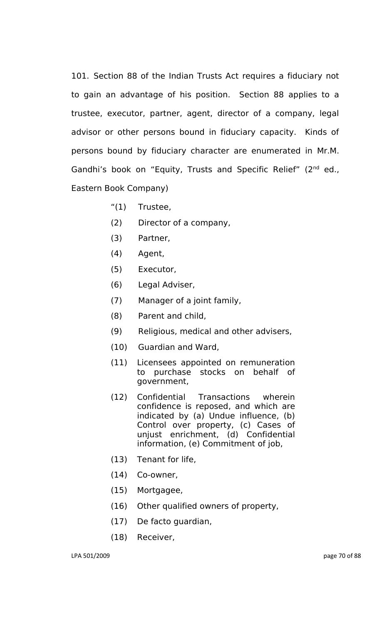101. Section 88 of the Indian Trusts Act requires a fiduciary not to gain an advantage of his position. Section 88 applies to a trustee, executor, partner, agent, director of a company, legal advisor or other persons bound in fiduciary capacity. Kinds of persons bound by fiduciary character are enumerated in Mr.M. Gandhi's book on "Equity, Trusts and Specific Relief" (2<sup>nd</sup> ed., Eastern Book Company)

- "(1) Trustee,
- (2) Director of a company,
- (3) Partner,
- (4) Agent,
- (5) Executor,
- (6) Legal Adviser,
- (7) Manager of a joint family,
- (8) Parent and child,
- (9) Religious, medical and other advisers,
- (10) Guardian and Ward,
- (11) Licensees appointed on remuneration to purchase stocks on behalf of government,
- (12) Confidential Transactions wherein confidence is reposed, and which are indicated by (a) Undue influence, (b) Control over property, (c) Cases of unjust enrichment, (d) Confidential information, (e) Commitment of job,
- (13) Tenant for life,
- (14) Co-owner,
- (15) Mortgagee,
- (16) Other qualified owners of property,
- (17) De facto guardian,
- (18) Receiver,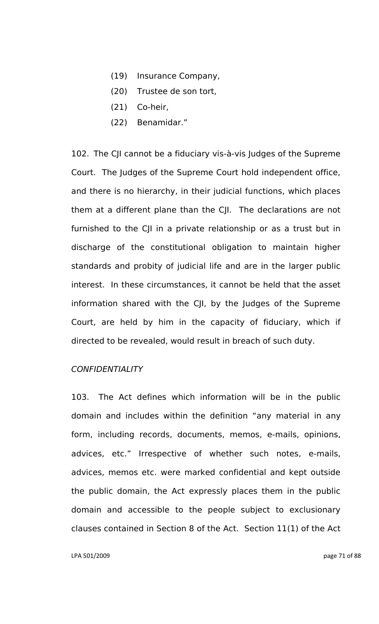- (19) Insurance Company,
- (20) Trustee de son tort,
- (21) Co-heir,
- (22) Benamidar."

102. The CJI cannot be a fiduciary vis-à-vis Judges of the Supreme Court. The Judges of the Supreme Court hold independent office, and there is no hierarchy, in their judicial functions, which places them at a different plane than the CJI. The declarations are not furnished to the CJI in a private relationship or as a trust but in discharge of the constitutional obligation to maintain higher standards and probity of judicial life and are in the larger public interest. In these circumstances, it cannot be held that the asset information shared with the CJI, by the Judges of the Supreme Court, are held by him in the capacity of fiduciary, which if directed to be revealed, would result in breach of such duty.

### *CONFIDENTIALITY*

103. The Act defines which information will be in the public domain and includes within the definition "any material in any form, including records, documents, memos, e-mails, opinions, advices, etc." Irrespective of whether such notes, e-mails, advices, memos etc. were marked confidential and kept outside the public domain, the Act expressly places them in the public domain and accessible to the people subject to exclusionary clauses contained in Section 8 of the Act. Section 11(1) of the Act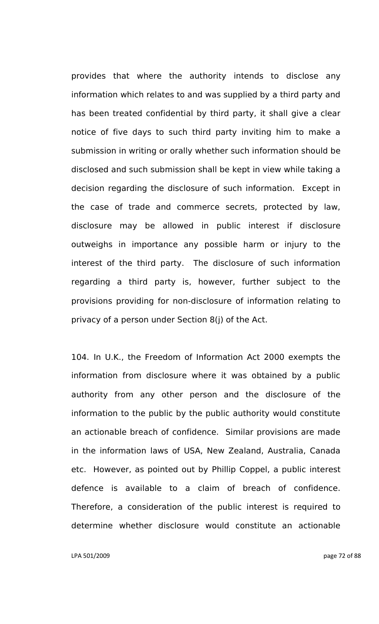provides that where the authority intends to disclose any information which relates to and was supplied by a third party and has been treated confidential by third party, it shall give a clear notice of five days to such third party inviting him to make a submission in writing or orally whether such information should be disclosed and such submission shall be kept in view while taking a decision regarding the disclosure of such information. Except in the case of trade and commerce secrets, protected by law, disclosure may be allowed in public interest if disclosure outweighs in importance any possible harm or injury to the interest of the third party. The disclosure of such information regarding a third party is, however, further subject to the provisions providing for non-disclosure of information relating to privacy of a person under Section 8(j) of the Act.

104. In U.K., the Freedom of Information Act 2000 exempts the information from disclosure where it was obtained by a public authority from any other person and the disclosure of the information to the public by the public authority would constitute an actionable breach of confidence. Similar provisions are made in the information laws of USA, New Zealand, Australia, Canada etc. However, as pointed out by Phillip Coppel, a public interest defence is available to a claim of breach of confidence. Therefore, a consideration of the public interest is required to determine whether disclosure would constitute an actionable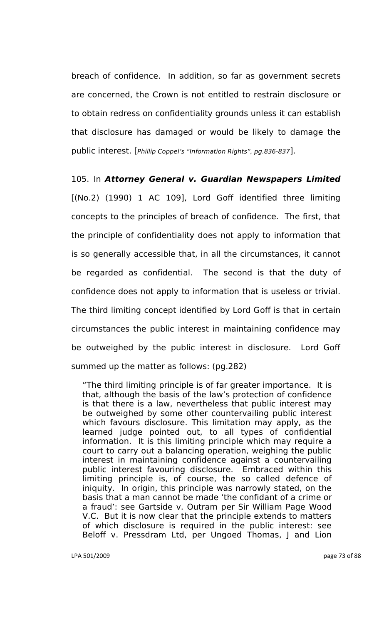breach of confidence. In addition, so far as government secrets are concerned, the Crown is not entitled to restrain disclosure or to obtain redress on confidentiality grounds unless it can establish that disclosure has damaged or would be likely to damage the public interest. [*Phillip Coppel"s "Information Rights", pg.836-837*].

105. In *Attorney General v. Guardian Newspapers Limited* [(No.2) (1990) 1 AC 109], Lord Goff identified three limiting concepts to the principles of breach of confidence. The first, that the principle of confidentiality does not apply to information that is so generally accessible that, in all the circumstances, it cannot be regarded as confidential. The second is that the duty of confidence does not apply to information that is useless or trivial. The third limiting concept identified by Lord Goff is that in certain circumstances the public interest in maintaining confidence may be outweighed by the public interest in disclosure. Lord Goff summed up the matter as follows: (pg.282)

"The third limiting principle is of far greater importance. It is that, although the basis of the law"s protection of confidence is that there is a law, nevertheless that public interest may be outweighed by some other countervailing public interest which favours disclosure. This limitation may apply, as the learned judge pointed out, to all types of confidential information. It is this limiting principle which may require a court to carry out a balancing operation, weighing the public interest in maintaining confidence against a countervailing public interest favouring disclosure. Embraced within this limiting principle is, of course, the so called defence of iniquity. In origin, this principle was narrowly stated, on the basis that a man cannot be made "the confidant of a crime or a fraud": see Gartside v. Outram per Sir William Page Wood V.C. But it is now clear that the principle extends to matters of which disclosure is required in the public interest: see Beloff v. Pressdram Ltd, per Ungoed Thomas, J and Lion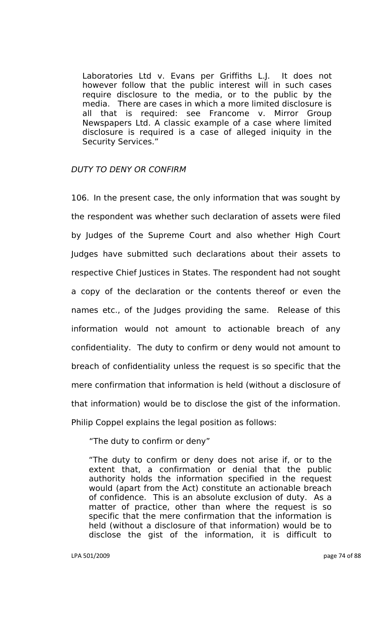Laboratories Ltd v. Evans per Griffiths L.J. It does not however follow that the public interest will in such cases require disclosure to the media, or to the public by the media. There are cases in which a more limited disclosure is all that is required: see Francome v. Mirror Group Newspapers Ltd. A classic example of a case where limited disclosure is required is a case of alleged iniquity in the Security Services."

#### *DUTY TO DENY OR CONFIRM*

106. In the present case, the only information that was sought by the respondent was whether such declaration of assets were filed by Judges of the Supreme Court and also whether High Court Judges have submitted such declarations about their assets to respective Chief Justices in States. The respondent had not sought a copy of the declaration or the contents thereof or even the names etc., of the Judges providing the same. Release of this information would not amount to actionable breach of any confidentiality. The duty to confirm or deny would not amount to breach of confidentiality unless the request is so specific that the mere confirmation that information is held (without a disclosure of that information) would be to disclose the gist of the information. Philip Coppel explains the legal position as follows:

"The duty to confirm or deny"

"The duty to confirm or deny does not arise if, or to the extent that, a confirmation or denial that the public authority holds the information specified in the request would (apart from the Act) constitute an actionable breach of confidence. This is an absolute exclusion of duty. As a matter of practice, other than where the request is so specific that the mere confirmation that the information is held (without a disclosure of that information) would be to disclose the gist of the information, it is difficult to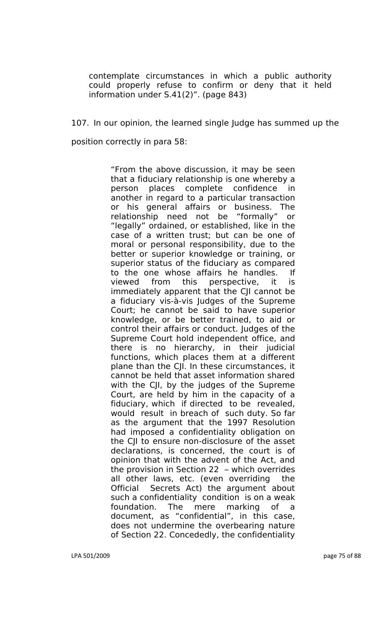contemplate circumstances in which a public authority could properly refuse to confirm or deny that it held information under S.41(2)". (page 843)

107. In our opinion, the learned single Judge has summed up the position correctly in para 58:

> "From the above discussion, it may be seen that a fiduciary relationship is one whereby a<br>person places complete confidence in person places complete confidence in another in regard to a particular transaction or his general affairs or business. The relationship need not be "formally" or "legally" ordained, or established, like in the case of a written trust; but can be one of moral or personal responsibility, due to the better or superior knowledge or training, or superior status of the fiduciary as compared to the one whose affairs he handles. If viewed from this perspective, it is immediately apparent that the CJI cannot be a fiduciary vis-à-vis Judges of the Supreme Court; he cannot be said to have superior knowledge, or be better trained, to aid or control their affairs or conduct. Judges of the Supreme Court hold independent office, and there is no hierarchy, in their judicial functions, which places them at a different plane than the CJI. In these circumstances, it cannot be held that asset information shared with the CJI, by the judges of the Supreme Court, are held by him in the capacity of a fiduciary, which if directed to be revealed, would result in breach of such duty. So far as the argument that the 1997 Resolution had imposed a confidentiality obligation on the CJI to ensure non-disclosure of the asset declarations, is concerned, the court is of opinion that with the advent of the Act, and the provision in Section 22 – which overrides all other laws, etc. (even overriding the Official Secrets Act) the argument about such a confidentiality condition is on a weak foundation. The mere marking of a document, as "confidential", in this case, does not undermine the overbearing nature of Section 22. Concededly, the confidentiality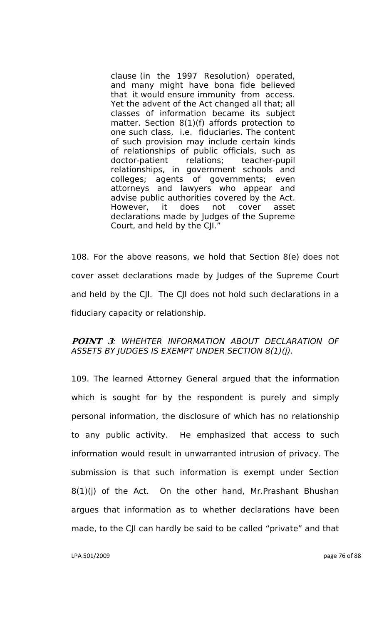clause (in the 1997 Resolution) operated, and many might have bona fide believed that it would ensure immunity from access. Yet the advent of the Act changed all that; all classes of information became its subject matter. Section 8(1)(f) affords protection to one such class, i.e. fiduciaries. The content of such provision may include certain kinds of relationships of public officials, such as doctor-patient relations; teacher-pupil relationships, in government schools and colleges; agents of governments; even attorneys and lawyers who appear and advise public authorities covered by the Act. However, it does not cover asset declarations made by Judges of the Supreme Court, and held by the CJI."

108. For the above reasons, we hold that Section 8(e) does not cover asset declarations made by Judges of the Supreme Court and held by the CJI. The CJI does not hold such declarations in a fiduciary capacity or relationship.

# **POINT 3***: WHEHTER INFORMATION ABOUT DECLARATION OF ASSETS BY JUDGES IS EXEMPT UNDER SECTION 8(1)(j).*

109. The learned Attorney General argued that the information which is sought for by the respondent is purely and simply personal information, the disclosure of which has no relationship to any public activity. He emphasized that access to such information would result in unwarranted intrusion of privacy. The submission is that such information is exempt under Section  $8(1)(j)$  of the Act. On the other hand, Mr. Prashant Bhushan argues that information as to whether declarations have been made, to the CJI can hardly be said to be called "private" and that

LPA 501/2009 page 76 of 88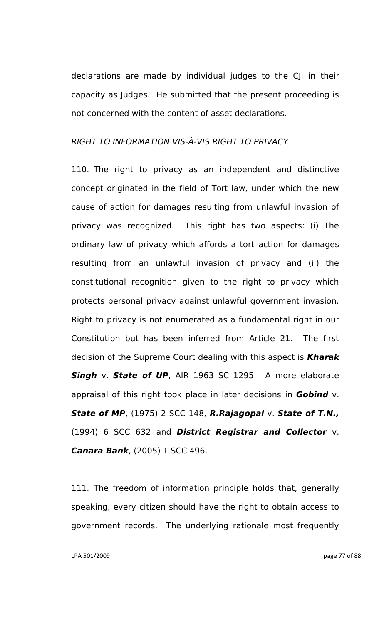declarations are made by individual judges to the CJI in their capacity as Judges. He submitted that the present proceeding is not concerned with the content of asset declarations.

### *RIGHT TO INFORMATION VIS-À-VIS RIGHT TO PRIVACY*

110. The right to privacy as an independent and distinctive concept originated in the field of Tort law, under which the new cause of action for damages resulting from unlawful invasion of privacy was recognized. This right has two aspects: (i) The ordinary law of privacy which affords a tort action for damages resulting from an unlawful invasion of privacy and (ii) the constitutional recognition given to the right to privacy which protects personal privacy against unlawful government invasion. Right to privacy is not enumerated as a fundamental right in our Constitution but has been inferred from Article 21. The first decision of the Supreme Court dealing with this aspect is *Kharak* **Singh** v. **State of UP**, AIR 1963 SC 1295. A more elaborate appraisal of this right took place in later decisions in *Gobind* v. *State of MP*, (1975) 2 SCC 148, *R.Rajagopal* v. *State of T.N.,* (1994) 6 SCC 632 and *District Registrar and Collector* v. *Canara Bank*, (2005) 1 SCC 496.

111. The freedom of information principle holds that, generally speaking, every citizen should have the right to obtain access to government records. The underlying rationale most frequently

LPA 501/2009 page 77 of 88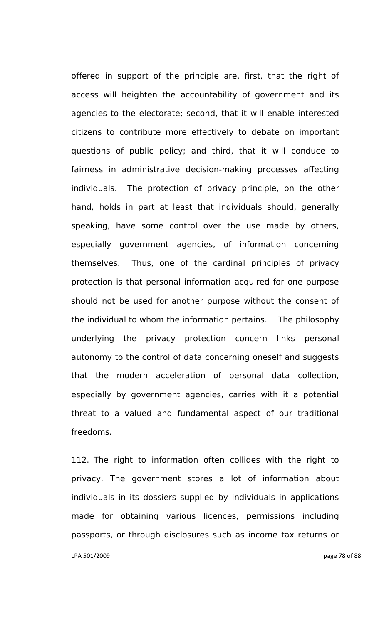offered in support of the principle are, first, that the right of access will heighten the accountability of government and its agencies to the electorate; second, that it will enable interested citizens to contribute more effectively to debate on important questions of public policy; and third, that it will conduce to fairness in administrative decision-making processes affecting individuals. The protection of privacy principle, on the other hand, holds in part at least that individuals should, generally speaking, have some control over the use made by others, especially government agencies, of information concerning themselves. Thus, one of the cardinal principles of privacy protection is that personal information acquired for one purpose should not be used for another purpose without the consent of the individual to whom the information pertains. The philosophy underlying the privacy protection concern links personal autonomy to the control of data concerning oneself and suggests that the modern acceleration of personal data collection, especially by government agencies, carries with it a potential threat to a valued and fundamental aspect of our traditional freedoms.

LPA 501/2009 page 78 of 88 112. The right to information often collides with the right to privacy. The government stores a lot of information about individuals in its dossiers supplied by individuals in applications made for obtaining various licences, permissions including passports, or through disclosures such as income tax returns or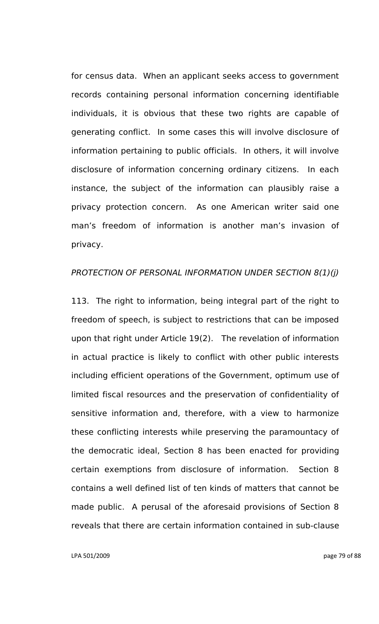for census data. When an applicant seeks access to government records containing personal information concerning identifiable individuals, it is obvious that these two rights are capable of generating conflict. In some cases this will involve disclosure of information pertaining to public officials. In others, it will involve disclosure of information concerning ordinary citizens. In each instance, the subject of the information can plausibly raise a privacy protection concern. As one American writer said one man"s freedom of information is another man"s invasion of privacy.

#### *PROTECTION OF PERSONAL INFORMATION UNDER SECTION 8(1)(j)*

113. The right to information, being integral part of the right to freedom of speech, is subject to restrictions that can be imposed upon that right under Article 19(2). The revelation of information in actual practice is likely to conflict with other public interests including efficient operations of the Government, optimum use of limited fiscal resources and the preservation of confidentiality of sensitive information and, therefore, with a view to harmonize these conflicting interests while preserving the paramountacy of the democratic ideal, Section 8 has been enacted for providing certain exemptions from disclosure of information. Section 8 contains a well defined list of ten kinds of matters that cannot be made public. A perusal of the aforesaid provisions of Section 8 reveals that there are certain information contained in sub-clause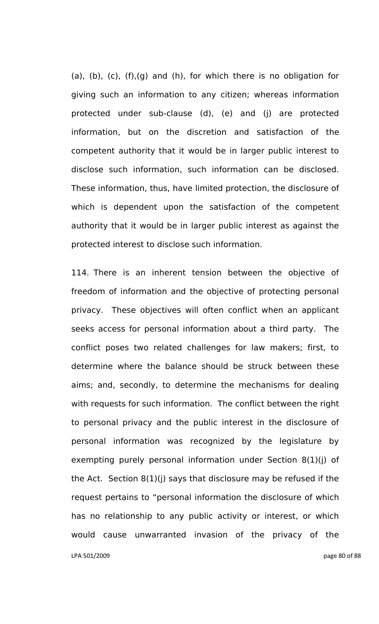(a), (b), (c), (f),(g) and (h), for which there is no obligation for giving such an information to any citizen; whereas information protected under sub-clause (d), (e) and (j) are protected information, but on the discretion and satisfaction of the competent authority that it would be in larger public interest to disclose such information, such information can be disclosed. These information, thus, have limited protection, the disclosure of which is dependent upon the satisfaction of the competent authority that it would be in larger public interest as against the protected interest to disclose such information.

LPA 501/2009 page 80 of 88 114. There is an inherent tension between the objective of freedom of information and the objective of protecting personal privacy. These objectives will often conflict when an applicant seeks access for personal information about a third party. The conflict poses two related challenges for law makers; first, to determine where the balance should be struck between these aims; and, secondly, to determine the mechanisms for dealing with requests for such information. The conflict between the right to personal privacy and the public interest in the disclosure of personal information was recognized by the legislature by exempting purely personal information under Section 8(1)(j) of the Act. Section 8(1)(j) says that disclosure may be refused if the request pertains to "personal information the disclosure of which has no relationship to any public activity or interest, or which would cause unwarranted invasion of the privacy of the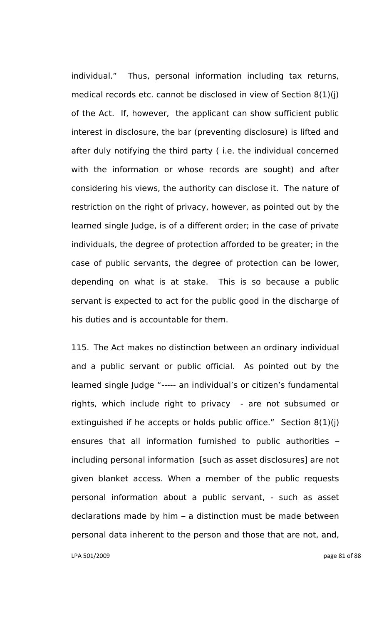individual." Thus, personal information including tax returns, medical records etc. cannot be disclosed in view of Section 8(1)(j) of the Act. If, however, the applicant can show sufficient public interest in disclosure, the bar (preventing disclosure) is lifted and after duly notifying the third party ( i.e. the individual concerned with the information or whose records are sought) and after considering his views, the authority can disclose it. The nature of restriction on the right of privacy, however, as pointed out by the learned single Judge, is of a different order; in the case of private individuals, the degree of protection afforded to be greater; in the case of public servants, the degree of protection can be lower, depending on what is at stake. This is so because a public servant is expected to act for the public good in the discharge of his duties and is accountable for them.

115. The Act makes no distinction between an ordinary individual and a public servant or public official. As pointed out by the learned single Judge "----- an individual's or citizen's fundamental rights, which include right to privacy - are not subsumed or extinguished if he accepts or holds public office." Section 8(1)(j) ensures that all information furnished to public authorities – including personal information [such as asset disclosures] are not given blanket access. When a member of the public requests personal information about a public servant, - such as asset declarations made by him – a distinction must be made between personal data inherent to the person and those that are not, and,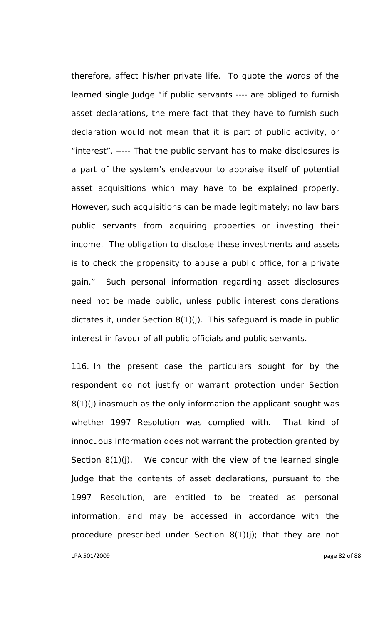therefore, affect his/her private life. To quote the words of the learned single Judge "if public servants ---- are obliged to furnish asset declarations, the mere fact that they have to furnish such declaration would not mean that it is part of public activity, or "interest". ----- That the public servant has to make disclosures is a part of the system"s endeavour to appraise itself of potential asset acquisitions which may have to be explained properly. However, such acquisitions can be made legitimately; no law bars public servants from acquiring properties or investing their income. The obligation to disclose these investments and assets is to check the propensity to abuse a public office, for a private gain." Such personal information regarding asset disclosures need not be made public, unless public interest considerations dictates it, under Section 8(1)(j). This safeguard is made in public interest in favour of all public officials and public servants.

LPA 501/2009 page 82 of 88 116. In the present case the particulars sought for by the respondent do not justify or warrant protection under Section 8(1)(j) inasmuch as the only information the applicant sought was whether 1997 Resolution was complied with. That kind of innocuous information does not warrant the protection granted by Section 8(1)(j). We concur with the view of the learned single Judge that the contents of asset declarations, pursuant to the 1997 Resolution, are entitled to be treated as personal information, and may be accessed in accordance with the procedure prescribed under Section 8(1)(j); that they are not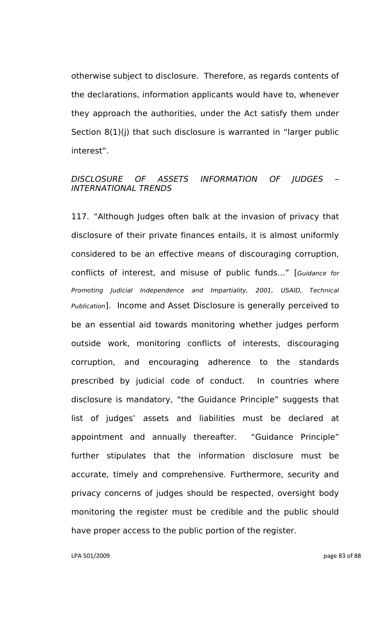otherwise subject to disclosure. Therefore, as regards contents of the declarations, information applicants would have to, whenever they approach the authorities, under the Act satisfy them under Section 8(1)(j) that such disclosure is warranted in "larger public interest".

## *DISCLOSURE OF ASSETS INFORMATION OF JUDGES – INTERNATIONAL TRENDS*

117. "Although Judges often balk at the invasion of privacy that disclosure of their private finances entails, it is almost uniformly considered to be an effective means of discouraging corruption, conflicts of interest, and misuse of public funds..." [*Guidance for Promoting Judicial Independence and Impartiality, 2001, USAID, Technical Publication*]. Income and Asset Disclosure is generally perceived to be an essential aid towards monitoring whether judges perform outside work, monitoring conflicts of interests, discouraging corruption, and encouraging adherence to the standards prescribed by judicial code of conduct. In countries where disclosure is mandatory, "the Guidance Principle" suggests that list of judges" assets and liabilities must be declared at appointment and annually thereafter. "Guidance Principle" further stipulates that the information disclosure must be accurate, timely and comprehensive. Furthermore, security and privacy concerns of judges should be respected, oversight body monitoring the register must be credible and the public should have proper access to the public portion of the register.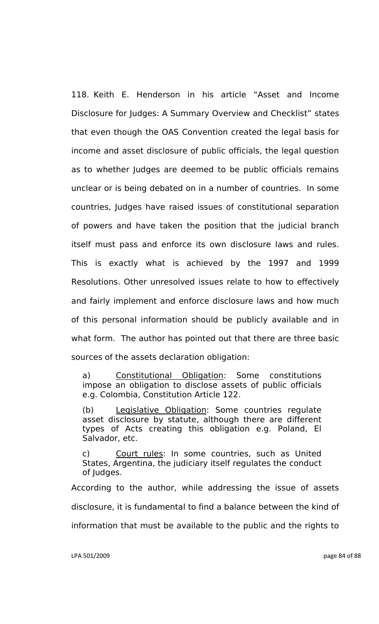118. Keith E. Henderson in his article "Asset and Income Disclosure for Judges: A Summary Overview and Checklist" states that even though the OAS Convention created the legal basis for income and asset disclosure of public officials, the legal question as to whether Judges are deemed to be public officials remains unclear or is being debated on in a number of countries. In some countries, Judges have raised issues of constitutional separation of powers and have taken the position that the judicial branch itself must pass and enforce its own disclosure laws and rules. This is exactly what is achieved by the 1997 and 1999 Resolutions. Other unresolved issues relate to how to effectively and fairly implement and enforce disclosure laws and how much of this personal information should be publicly available and in what form. The author has pointed out that there are three basic sources of the assets declaration obligation:

a) Constitutional Obligation: Some constitutions impose an obligation to disclose assets of public officials e.g. Colombia, Constitution Article 122.

(b) Legislative Obligation: Some countries regulate asset disclosure by statute, although there are different types of Acts creating this obligation e.g. Poland, El Salvador, etc.

c) Court rules: In some countries, such as United States, Argentina, the judiciary itself regulates the conduct of Judges.

According to the author, while addressing the issue of assets disclosure, it is fundamental to find a balance between the kind of information that must be available to the public and the rights to

LPA 501/2009 page 84 of 88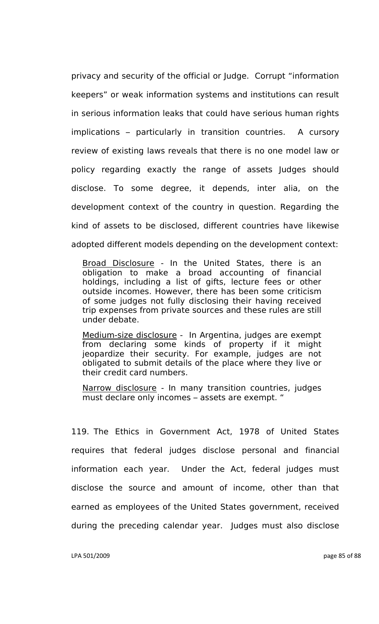privacy and security of the official or Judge. Corrupt "information keepers" or weak information systems and institutions can result in serious information leaks that could have serious human rights implications – particularly in transition countries. A cursory review of existing laws reveals that there is no one model law or policy regarding exactly the range of assets Judges should disclose. To some degree, it depends, inter alia, on the development context of the country in question. Regarding the kind of assets to be disclosed, different countries have likewise adopted different models depending on the development context:

Broad Disclosure - In the United States, there is an obligation to make a broad accounting of financial holdings, including a list of gifts, lecture fees or other outside incomes. However, there has been some criticism of some judges not fully disclosing their having received trip expenses from private sources and these rules are still under debate.

Medium-size disclosure - In Argentina, judges are exempt from declaring some kinds of property if it might jeopardize their security. For example, judges are not obligated to submit details of the place where they live or their credit card numbers.

Narrow disclosure - In many transition countries, judges must declare only incomes – assets are exempt. "

119. The Ethics in Government Act, 1978 of United States requires that federal judges disclose personal and financial information each year. Under the Act, federal judges must disclose the source and amount of income, other than that earned as employees of the United States government, received during the preceding calendar year. Judges must also disclose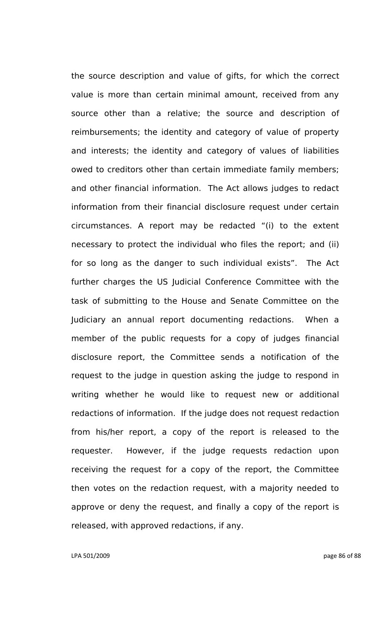the source description and value of gifts, for which the correct value is more than certain minimal amount, received from any source other than a relative; the source and description of reimbursements; the identity and category of value of property and interests; the identity and category of values of liabilities owed to creditors other than certain immediate family members; and other financial information. The Act allows judges to redact information from their financial disclosure request under certain circumstances. A report may be redacted "(i) to the extent necessary to protect the individual who files the report; and (ii) for so long as the danger to such individual exists". The Act further charges the US Judicial Conference Committee with the task of submitting to the House and Senate Committee on the Judiciary an annual report documenting redactions. When a member of the public requests for a copy of judges financial disclosure report, the Committee sends a notification of the request to the judge in question asking the judge to respond in writing whether he would like to request new or additional redactions of information. If the judge does not request redaction from his/her report, a copy of the report is released to the requester. However, if the judge requests redaction upon receiving the request for a copy of the report, the Committee then votes on the redaction request, with a majority needed to approve or deny the request, and finally a copy of the report is released, with approved redactions, if any.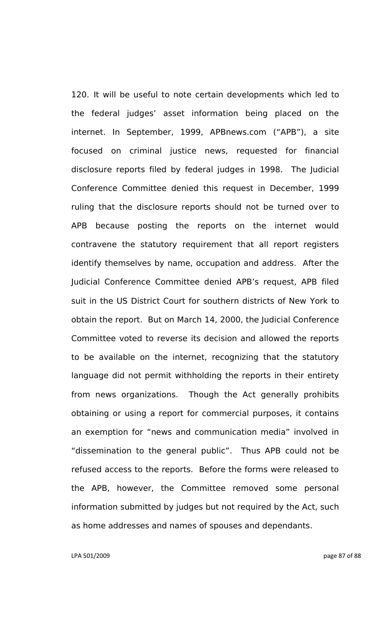120. It will be useful to note certain developments which led to the federal judges" asset information being placed on the internet. In September, 1999, APBnews.com ("APB"), a site focused on criminal justice news, requested for financial disclosure reports filed by federal judges in 1998. The Judicial Conference Committee denied this request in December, 1999 ruling that the disclosure reports should not be turned over to APB because posting the reports on the internet would contravene the statutory requirement that all report registers identify themselves by name, occupation and address. After the Judicial Conference Committee denied APB"s request, APB filed suit in the US District Court for southern districts of New York to obtain the report. But on March 14, 2000, the Judicial Conference Committee voted to reverse its decision and allowed the reports to be available on the internet, recognizing that the statutory language did not permit withholding the reports in their entirety from news organizations. Though the Act generally prohibits obtaining or using a report for commercial purposes, it contains an exemption for "news and communication media" involved in "dissemination to the general public". Thus APB could not be refused access to the reports. Before the forms were released to the APB, however, the Committee removed some personal information submitted by judges but not required by the Act, such as home addresses and names of spouses and dependants.

LPA 501/2009 page 87 of 88